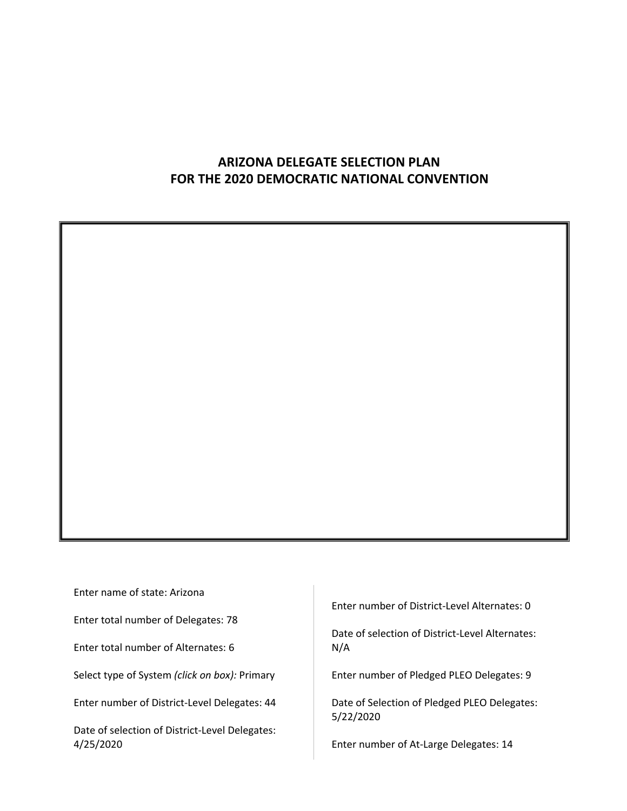## **ARIZONA DELEGATE SELECTION PLAN FOR THE 2020 DEMOCRATIC NATIONAL CONVENTION**

Enter name of state: Arizona

Enter total number of Delegates: 78

Enter total number of Alternates: 6

Select type of System *(click on box):* Primary

Enter number of District-Level Delegates: 44

Date of selection of District-Level Delegates: 4/25/2020

Enter number of District-Level Alternates: 0

Date of selection of District-Level Alternates: N/A

Enter number of Pledged PLEO Delegates: 9

Date of Selection of Pledged PLEO Delegates: 5/22/2020

Enter number of At-Large Delegates: 14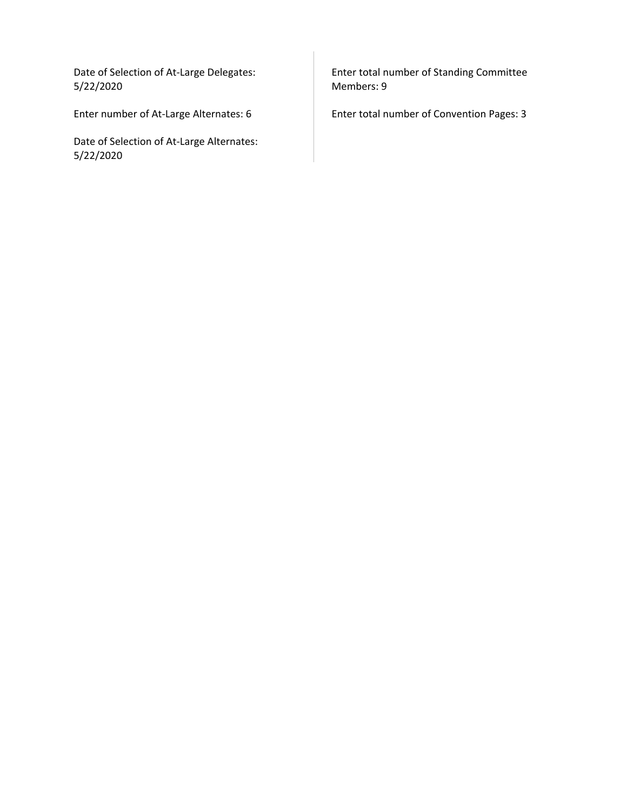Date of Selection of At-Large Delegates: 5/22/2020

Enter number of At-Large Alternates: 6

Date of Selection of At-Large Alternates: 5/22/2020

Enter total number of Standing Committee Members: 9

Enter total number of Convention Pages: 3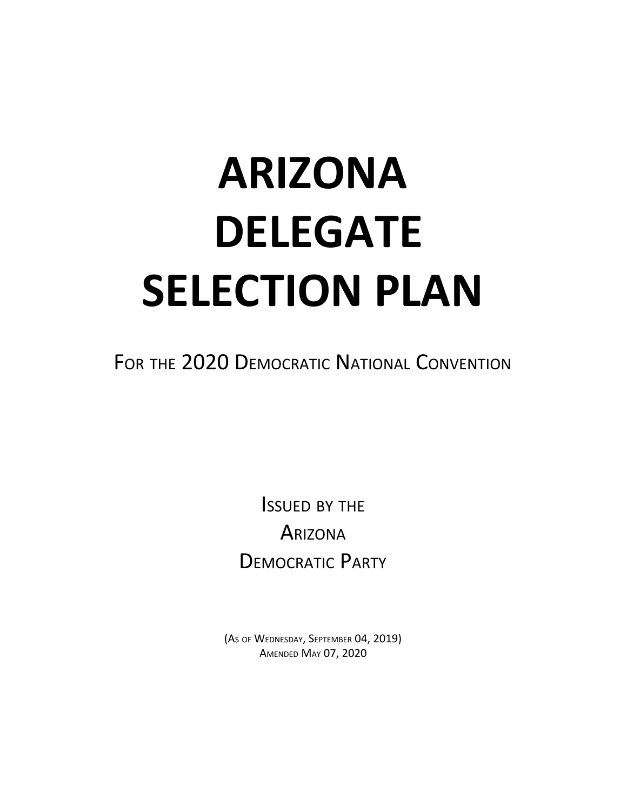# **ARIZONA DELEGATE SELECTION PLAN**

FOR THE 2020 DEMOCRATIC NATIONAL CONVENTION

ISSUED BY THE **ARIZONA** DEMOCRATIC PARTY

(AS OF WEDNESDAY, SEPTEMBER 04, 2019) AMENDED MAY 07, 2020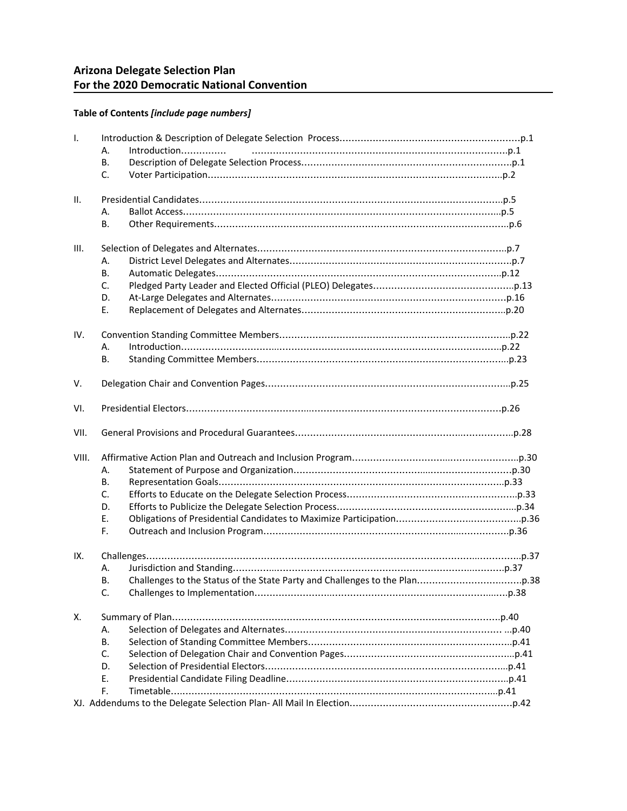#### **Table of Contents** *[include page numbers]*

| Ι.    |                    |  |
|-------|--------------------|--|
|       | Introduction<br>А. |  |
|       | В.                 |  |
|       | C.                 |  |
| II.   |                    |  |
|       | А.                 |  |
|       | В.                 |  |
| III.  |                    |  |
|       | А.                 |  |
|       | В.                 |  |
|       | $C_{\cdot}$        |  |
|       | D.                 |  |
|       | E.                 |  |
| IV.   |                    |  |
|       | А.                 |  |
|       | В.                 |  |
| V.    |                    |  |
| VI.   |                    |  |
| VII.  |                    |  |
| VIII. |                    |  |
|       | А.                 |  |
|       | В.                 |  |
|       | C.                 |  |
|       | D.                 |  |
|       | E.                 |  |
|       | F.                 |  |
| IX.   |                    |  |
|       | А.                 |  |
|       | В.                 |  |
|       | C.                 |  |
| Χ.    |                    |  |
|       |                    |  |
|       | А.                 |  |
|       | В.                 |  |
|       | C.                 |  |
|       | D.                 |  |
|       | E.                 |  |
|       | F.                 |  |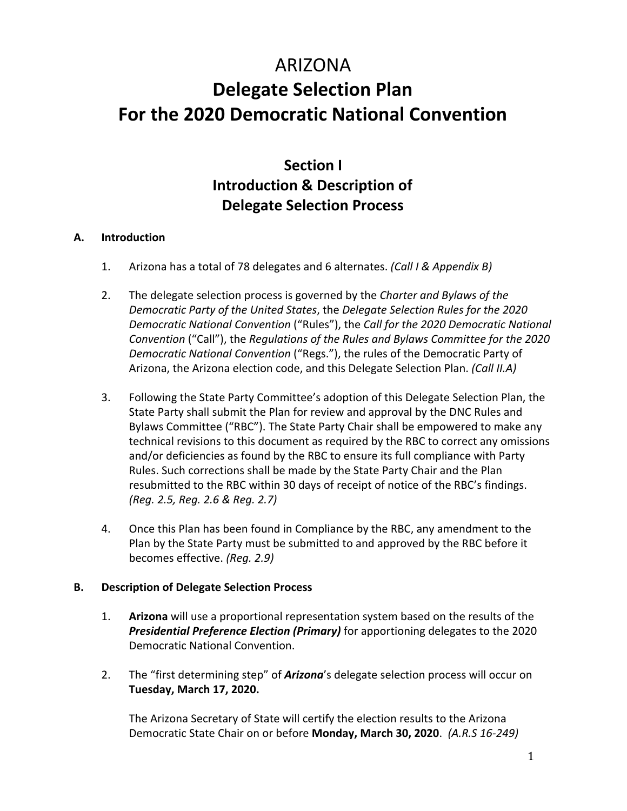## ARIZONA **Delegate Selection Plan For the 2020 Democratic National Convention**

## **Section I Introduction & Description of Delegate Selection Process**

## **A. Introduction**

- 1. Arizona has a total of 78 delegates and 6 alternates. *(Call I & Appendix B)*
- 2. The delegate selection process is governed by the *Charter and Bylaws of the Democratic Party of the United States*, the *Delegate Selection Rules for the 2020 Democratic National Convention* ("Rules"), the *Call for the 2020 Democratic National Convention* ("Call"), the *Regulations of the Rules and Bylaws Committee for the 2020 Democratic National Convention* ("Regs."), the rules of the Democratic Party of Arizona, the Arizona election code, and this Delegate Selection Plan. *(Call II.A)*
- 3. Following the State Party Committee's adoption of this Delegate Selection Plan, the State Party shall submit the Plan for review and approval by the DNC Rules and Bylaws Committee ("RBC"). The State Party Chair shall be empowered to make any technical revisions to this document as required by the RBC to correct any omissions and/or deficiencies as found by the RBC to ensure its full compliance with Party Rules. Such corrections shall be made by the State Party Chair and the Plan resubmitted to the RBC within 30 days of receipt of notice of the RBC's findings. *(Reg. 2.5, Reg. 2.6 & Reg. 2.7)*
- 4. Once this Plan has been found in Compliance by the RBC, any amendment to the Plan by the State Party must be submitted to and approved by the RBC before it becomes effective. *(Reg. 2.9)*

## **B. Description of Delegate Selection Process**

- 1. **Arizona** will use a proportional representation system based on the results of the *Presidential Preference Election (Primary)* for apportioning delegates to the 2020 Democratic National Convention.
- 2. The "first determining step" of *Arizona*'s delegate selection process will occur on **Tuesday, March 17, 2020.**

The Arizona Secretary of State will certify the election results to the Arizona Democratic State Chair on or before **Monday, March 30, 2020**. *(A.R.S 16-249)*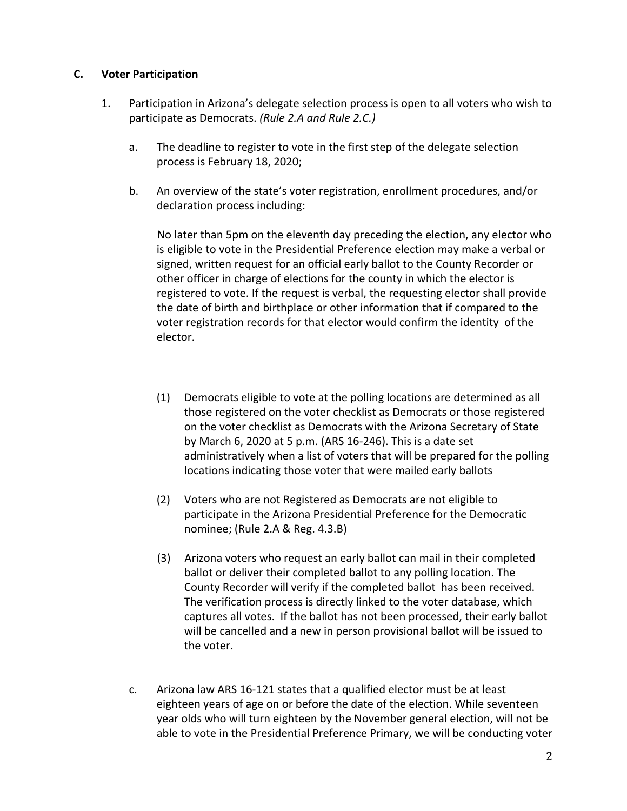#### **C. Voter Participation**

- 1. Participation in Arizona's delegate selection process is open to all voters who wish to participate as Democrats. *(Rule 2.A and Rule 2.C.)*
	- a. The deadline to register to vote in the first step of the delegate selection process is February 18, 2020;
	- b. An overview of the state's voter registration, enrollment procedures, and/or declaration process including:

 No later than 5pm on the eleventh day preceding the election, any elector who is eligible to vote in the Presidential Preference election may make a verbal or signed, written request for an official early ballot to the County Recorder or other officer in charge of elections for the county in which the elector is registered to vote. If the request is verbal, the requesting elector shall provide the date of birth and birthplace or other information that if compared to the voter registration records for that elector would confirm the identity of the elector.

- (1) Democrats eligible to vote at the polling locations are determined as all those registered on the voter checklist as Democrats or those registered on the voter checklist as Democrats with the Arizona Secretary of State by March 6, 2020 at 5 p.m. (ARS 16-246). This is a date set administratively when a list of voters that will be prepared for the polling locations indicating those voter that were mailed early ballots
- (2) Voters who are not Registered as Democrats are not eligible to participate in the Arizona Presidential Preference for the Democratic nominee; (Rule 2.A & Reg. 4.3.B)
- (3) Arizona voters who request an early ballot can mail in their completed ballot or deliver their completed ballot to any polling location. The County Recorder will verify if the completed ballot has been received. The verification process is directly linked to the voter database, which captures all votes. If the ballot has not been processed, their early ballot will be cancelled and a new in person provisional ballot will be issued to the voter.
- c. Arizona law ARS 16-121 states that a qualified elector must be at least eighteen years of age on or before the date of the election. While seventeen year olds who will turn eighteen by the November general election, will not be able to vote in the Presidential Preference Primary, we will be conducting voter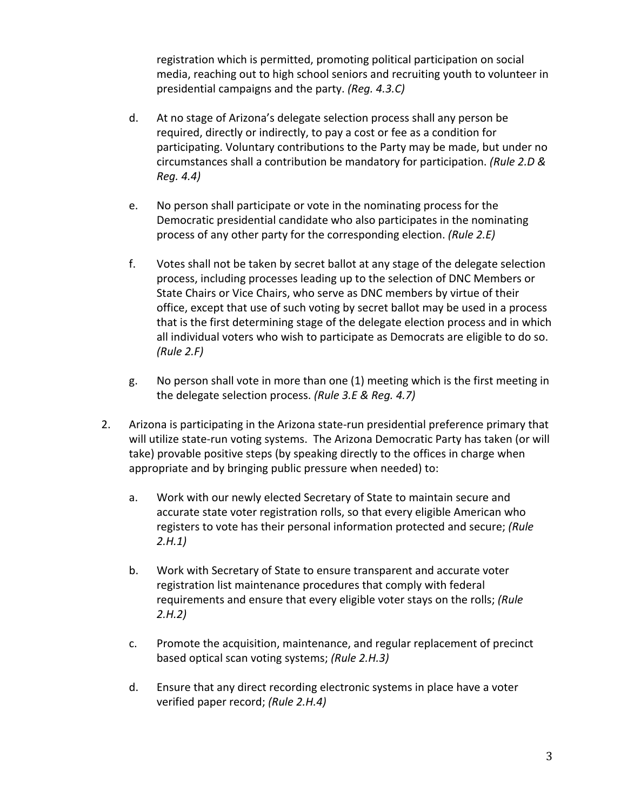registration which is permitted, promoting political participation on social media, reaching out to high school seniors and recruiting youth to volunteer in presidential campaigns and the party. *(Reg. 4.3.C)*

- d. At no stage of Arizona's delegate selection process shall any person be required, directly or indirectly, to pay a cost or fee as a condition for participating. Voluntary contributions to the Party may be made, but under no circumstances shall a contribution be mandatory for participation. *(Rule 2.D & Reg. 4.4)*
- e. No person shall participate or vote in the nominating process for the Democratic presidential candidate who also participates in the nominating process of any other party for the corresponding election. *(Rule 2.E)*
- f. Votes shall not be taken by secret ballot at any stage of the delegate selection process, including processes leading up to the selection of DNC Members or State Chairs or Vice Chairs, who serve as DNC members by virtue of their office, except that use of such voting by secret ballot may be used in a process that is the first determining stage of the delegate election process and in which all individual voters who wish to participate as Democrats are eligible to do so. *(Rule 2.F)*
- g. No person shall vote in more than one (1) meeting which is the first meeting in the delegate selection process. *(Rule 3.E & Reg. 4.7)*
- 2. Arizona is participating in the Arizona state-run presidential preference primary that will utilize state-run voting systems. The Arizona Democratic Party has taken (or will take) provable positive steps (by speaking directly to the offices in charge when appropriate and by bringing public pressure when needed) to:
	- a. Work with our newly elected Secretary of State to maintain secure and accurate state voter registration rolls, so that every eligible American who registers to vote has their personal information protected and secure; *(Rule 2.H.1)*
	- b. Work with Secretary of State to ensure transparent and accurate voter registration list maintenance procedures that comply with federal requirements and ensure that every eligible voter stays on the rolls; *(Rule 2.H.2)*
	- c. Promote the acquisition, maintenance, and regular replacement of precinct based optical scan voting systems; *(Rule 2.H.3)*
	- d. Ensure that any direct recording electronic systems in place have a voter verified paper record; *(Rule 2.H.4)*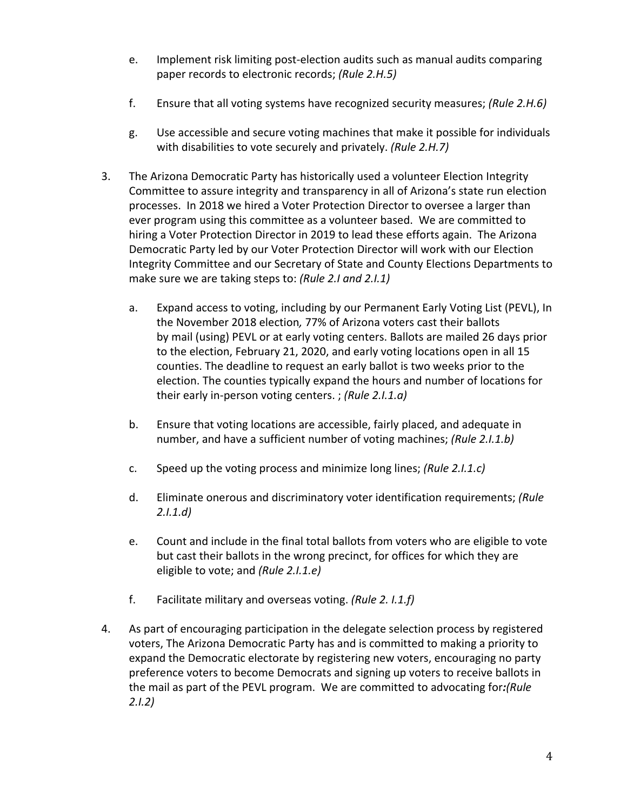- e. Implement risk limiting post-election audits such as manual audits comparing paper records to electronic records; *(Rule 2.H.5)*
- f. Ensure that all voting systems have recognized security measures; *(Rule 2.H.6)*
- g. Use accessible and secure voting machines that make it possible for individuals with disabilities to vote securely and privately. *(Rule 2.H.7)*
- 3. The Arizona Democratic Party has historically used a volunteer Election Integrity Committee to assure integrity and transparency in all of Arizona's state run election processes. In 2018 we hired a Voter Protection Director to oversee a larger than ever program using this committee as a volunteer based. We are committed to hiring a Voter Protection Director in 2019 to lead these efforts again. The Arizona Democratic Party led by our Voter Protection Director will work with our Election Integrity Committee and our Secretary of State and County Elections Departments to make sure we are taking steps to: *(Rule 2.I and 2.I.1)*
	- a. Expand access to voting, including by our Permanent Early Voting List (PEVL), In the November 2018 election*,* 77% of Arizona voters cast their ballots by mail (using) PEVL or at early voting centers. Ballots are mailed 26 days prior to the election, February 21, 2020, and early voting locations open in all 15 counties. The deadline to request an early ballot is two weeks prior to the election. The counties typically expand the hours and number of locations for their early in-person voting centers. ; *(Rule 2.I.1.a)*
	- b. Ensure that voting locations are accessible, fairly placed, and adequate in number, and have a sufficient number of voting machines; *(Rule 2.I.1.b)*
	- c. Speed up the voting process and minimize long lines; *(Rule 2.I.1.c)*
	- d. Eliminate onerous and discriminatory voter identification requirements; *(Rule 2.I.1.d)*
	- e. Count and include in the final total ballots from voters who are eligible to vote but cast their ballots in the wrong precinct, for offices for which they are eligible to vote; and *(Rule 2.I.1.e)*
	- f. Facilitate military and overseas voting. *(Rule 2. I.1.f)*
- 4. As part of encouraging participation in the delegate selection process by registered voters, The Arizona Democratic Party has and is committed to making a priority to expand the Democratic electorate by registering new voters, encouraging no party preference voters to become Democrats and signing up voters to receive ballots in the mail as part of the PEVL program. We are committed to advocating for*:(Rule 2.I.2)*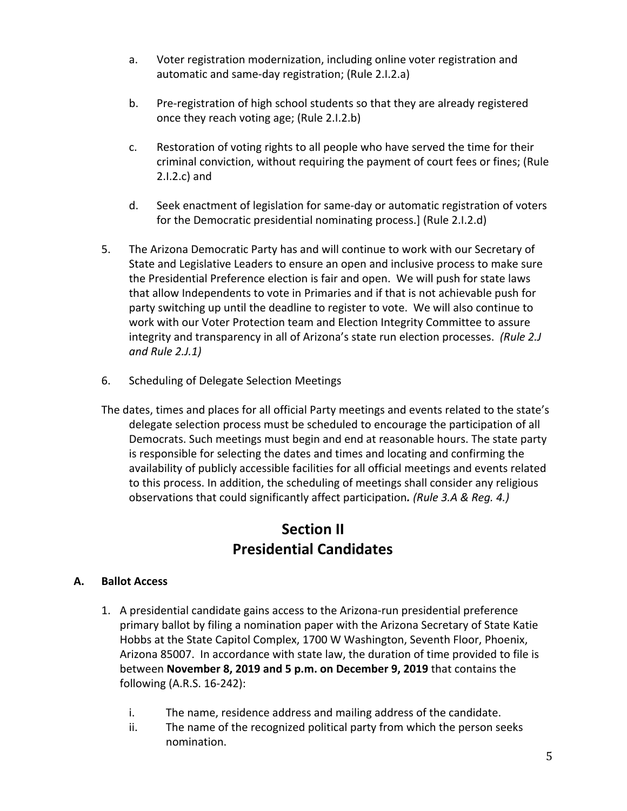- a. Voter registration modernization, including online voter registration and automatic and same-day registration; (Rule 2.I.2.a)
- b. Pre-registration of high school students so that they are already registered once they reach voting age; (Rule 2.I.2.b)
- c. Restoration of voting rights to all people who have served the time for their criminal conviction, without requiring the payment of court fees or fines; (Rule 2.I.2.c) and
- d. Seek enactment of legislation for same-day or automatic registration of voters for the Democratic presidential nominating process.] (Rule 2.I.2.d)
- 5. The Arizona Democratic Party has and will continue to work with our Secretary of State and Legislative Leaders to ensure an open and inclusive process to make sure the Presidential Preference election is fair and open. We will push for state laws that allow Independents to vote in Primaries and if that is not achievable push for party switching up until the deadline to register to vote. We will also continue to work with our Voter Protection team and Election Integrity Committee to assure integrity and transparency in all of Arizona's state run election processes. *(Rule 2.J and Rule 2.J.1)*
- 6. Scheduling of Delegate Selection Meetings

The dates, times and places for all official Party meetings and events related to the state's delegate selection process must be scheduled to encourage the participation of all Democrats. Such meetings must begin and end at reasonable hours. The state party is responsible for selecting the dates and times and locating and confirming the availability of publicly accessible facilities for all official meetings and events related to this process. In addition, the scheduling of meetings shall consider any religious observations that could significantly affect participation*. (Rule 3.A & Reg. 4.)*

## **Section II Presidential Candidates**

## **A. Ballot Access**

- 1. A presidential candidate gains access to the Arizona-run presidential preference primary ballot by filing a nomination paper with the Arizona Secretary of State Katie Hobbs at the State Capitol Complex, 1700 W Washington, Seventh Floor, Phoenix, Arizona 85007. In accordance with state law, the duration of time provided to file is between **November 8, 2019 and 5 p.m. on December 9, 2019** that contains the following (A.R.S. 16-242):
	- i. The name, residence address and mailing address of the candidate.
	- ii. The name of the recognized political party from which the person seeks nomination.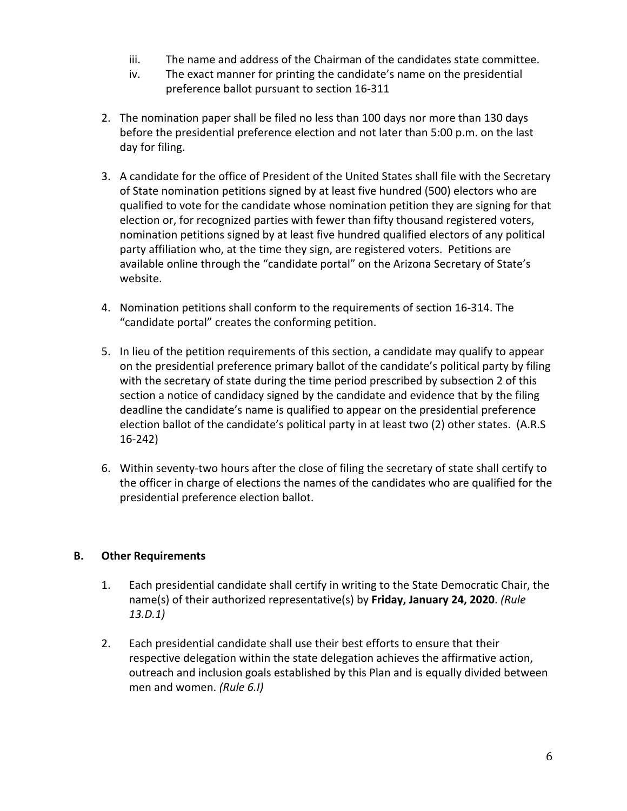- iii. The name and address of the Chairman of the candidates state committee.
- iv. The exact manner for printing the candidate's name on the presidential preference ballot pursuant to section 16-311
- 2. The nomination paper shall be filed no less than 100 days nor more than 130 days before the presidential preference election and not later than 5:00 p.m. on the last day for filing.
- 3. A candidate for the office of President of the United States shall file with the Secretary of State nomination petitions signed by at least five hundred (500) electors who are qualified to vote for the candidate whose nomination petition they are signing for that election or, for recognized parties with fewer than fifty thousand registered voters, nomination petitions signed by at least five hundred qualified electors of any political party affiliation who, at the time they sign, are registered voters. Petitions are available online through the "candidate portal" on the Arizona Secretary of State's website.
- 4. Nomination petitions shall conform to the requirements of section 16-314. The "candidate portal" creates the conforming petition.
- 5. In lieu of the petition requirements of this section, a candidate may qualify to appear on the presidential preference primary ballot of the candidate's political party by filing with the secretary of state during the time period prescribed by subsection 2 of this section a notice of candidacy signed by the candidate and evidence that by the filing deadline the candidate's name is qualified to appear on the presidential preference election ballot of the candidate's political party in at least two (2) other states. (A.R.S 16-242)
- 6. Within seventy-two hours after the close of filing the secretary of state shall certify to the officer in charge of elections the names of the candidates who are qualified for the presidential preference election ballot.

## **B. Other Requirements**

- 1. Each presidential candidate shall certify in writing to the State Democratic Chair, the name(s) of their authorized representative(s) by **Friday, January 24, 2020**. *(Rule 13.D.1)*
- 2. Each presidential candidate shall use their best efforts to ensure that their respective delegation within the state delegation achieves the affirmative action, outreach and inclusion goals established by this Plan and is equally divided between men and women. *(Rule 6.I)*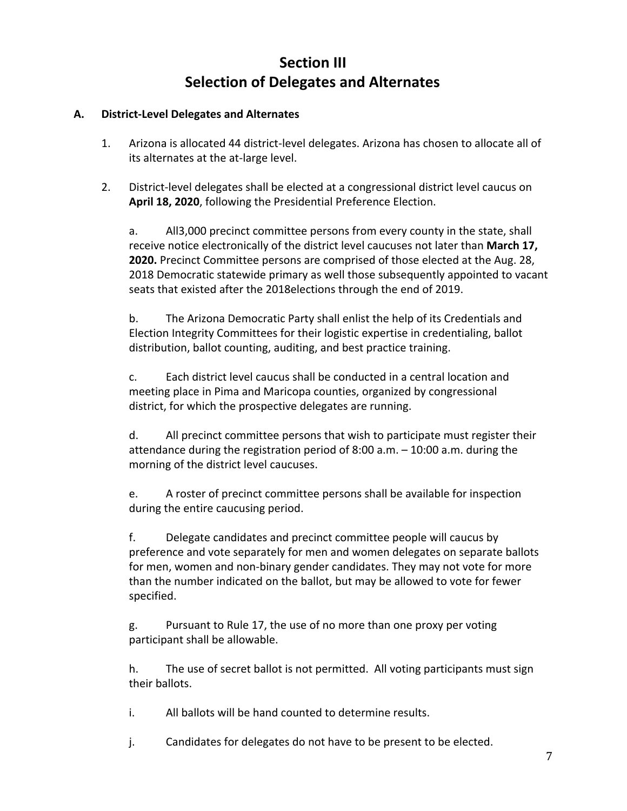## **Section III Selection of Delegates and Alternates**

## **A. District-Level Delegates and Alternates**

- 1. Arizona is allocated 44 district-level delegates. Arizona has chosen to allocate all of its alternates at the at-large level.
- 2. District-level delegates shall be elected at a congressional district level caucus on **April 18, 2020**, following the Presidential Preference Election.

a. All3,000 precinct committee persons from every county in the state, shall receive notice electronically of the district level caucuses not later than **March 17, 2020.** Precinct Committee persons are comprised of those elected at the Aug. 28, 2018 Democratic statewide primary as well those subsequently appointed to vacant seats that existed after the 2018elections through the end of 2019.

b. The Arizona Democratic Party shall enlist the help of its Credentials and Election Integrity Committees for their logistic expertise in credentialing, ballot distribution, ballot counting, auditing, and best practice training.

c. Each district level caucus shall be conducted in a central location and meeting place in Pima and Maricopa counties, organized by congressional district, for which the prospective delegates are running.

d. All precinct committee persons that wish to participate must register their attendance during the registration period of 8:00 a.m. – 10:00 a.m. during the morning of the district level caucuses.

e. A roster of precinct committee persons shall be available for inspection during the entire caucusing period.

f. Delegate candidates and precinct committee people will caucus by preference and vote separately for men and women delegates on separate ballots for men, women and non-binary gender candidates. They may not vote for more than the number indicated on the ballot, but may be allowed to vote for fewer specified.

g. Pursuant to Rule 17, the use of no more than one proxy per voting participant shall be allowable.

h. The use of secret ballot is not permitted. All voting participants must sign their ballots.

i. All ballots will be hand counted to determine results.

j. Candidates for delegates do not have to be present to be elected.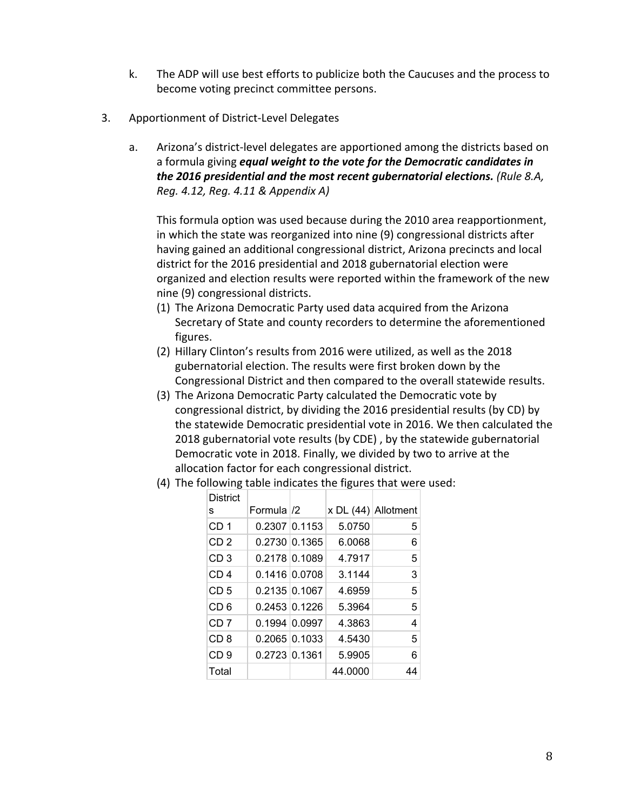- k. The ADP will use best efforts to publicize both the Caucuses and the process to become voting precinct committee persons.
- 3. Apportionment of District-Level Delegates

District

a. Arizona's district-level delegates are apportioned among the districts based on a formula giving *equal weight to the vote for the Democratic candidates in the 2016 presidential and the most recent gubernatorial elections. (Rule 8.A, Reg. 4.12, Reg. 4.11 & Appendix A)*

This formula option was used because during the 2010 area reapportionment, in which the state was reorganized into nine (9) congressional districts after having gained an additional congressional district, Arizona precincts and local district for the 2016 presidential and 2018 gubernatorial election were organized and election results were reported within the framework of the new nine (9) congressional districts.

- (1) The Arizona Democratic Party used data acquired from the Arizona Secretary of State and county recorders to determine the aforementioned figures.
- (2) Hillary Clinton's results from 2016 were utilized, as well as the 2018 gubernatorial election. The results were first broken down by the Congressional District and then compared to the overall statewide results.
- (3) The Arizona Democratic Party calculated the Democratic vote by congressional district, by dividing the 2016 presidential results (by CD) by the statewide Democratic presidential vote in 2016. We then calculated the 2018 gubernatorial vote results (by CDE) , by the statewide gubernatorial Democratic vote in 2018. Finally, we divided by two to arrive at the allocation factor for each congressional district.

| District        |              |                      |         |                       |
|-----------------|--------------|----------------------|---------|-----------------------|
| s               | Formula $/2$ |                      |         | x DL $(44)$ Allotment |
| CD <sub>1</sub> |              | 0.2307 0.1153        | 5.0750  | 5                     |
| CD <sub>2</sub> |              | $0.2730$ 0.1365      | 6.0068  | 6                     |
| CD <sub>3</sub> |              | 0.2178 0.1089        | 4.7917  | 5                     |
| CD <sub>4</sub> |              | 0.1416 0.0708        | 3.1144  | 3                     |
| CD <sub>5</sub> |              | 0.2135 0.1067        | 4.6959  | 5                     |
| CD 6            |              | $0.2453 \, 0.1226$   | 5.3964  | 5                     |
| CD <sub>7</sub> |              | $0.1994 \, 0.0997$   | 4.3863  | 4                     |
| CD <sub>8</sub> |              | $0.2065 \,   0.1033$ | 4.5430  | 5                     |
| CD <sub>9</sub> |              | $0.2723$ 0.1361      | 5.9905  | 6                     |
| Total           |              |                      | 44.0000 | 44                    |

(4) The following table indicates the figures that were used: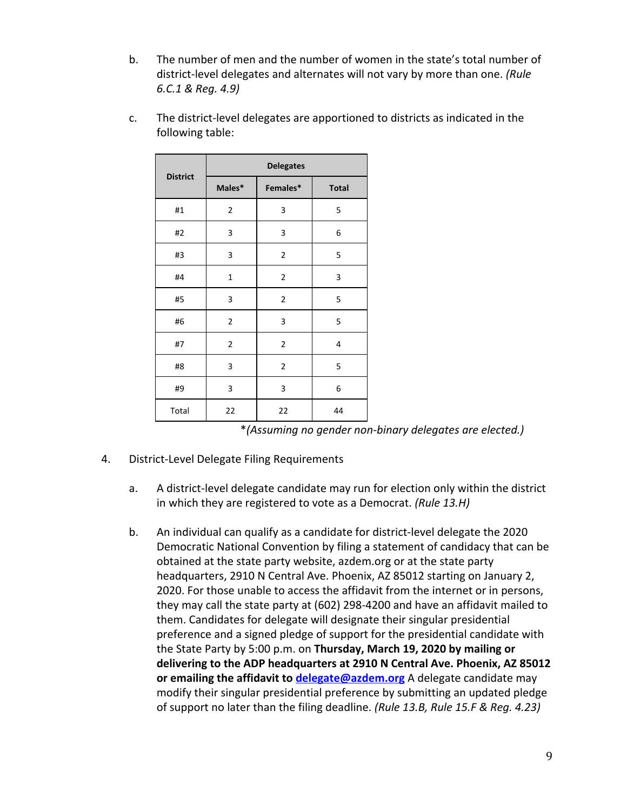- b. The number of men and the number of women in the state's total number of district-level delegates and alternates will not vary by more than one. *(Rule 6.C.1 & Reg. 4.9)*
- c. The district-level delegates are apportioned to districts as indicated in the following table:

|                 |                | <b>Delegates</b> |              |
|-----------------|----------------|------------------|--------------|
| <b>District</b> | Males*         | Females*         | <b>Total</b> |
| #1              | $\mathbf{2}$   | 3                | 5            |
| #2              | 3              | 3                | 6            |
| #3              | 3              | 2                | 5            |
| #4              | $\mathbf 1$    | 2                | 3            |
| #5              | 3              | 2                | 5            |
| #6              | $\overline{2}$ | 3                | 5            |
| #7              | $\overline{2}$ | 2                | 4            |
| #8              | 3              | 2                | 5            |
| #9              | 3              | 3                | 6            |
| Total           | 22             | 22               | 44           |

| *(Assuming no gender non-binary delegates are elected.) |  |  |  |  |
|---------------------------------------------------------|--|--|--|--|
|---------------------------------------------------------|--|--|--|--|

- 4. District-Level Delegate Filing Requirements
	- a. A district-level delegate candidate may run for election only within the district in which they are registered to vote as a Democrat. *(Rule 13.H)*
	- b. An individual can qualify as a candidate for district-level delegate the 2020 Democratic National Convention by filing a statement of candidacy that can be obtained at the state party website, azdem.org or at the state party headquarters, 2910 N Central Ave. Phoenix, AZ 85012 starting on January 2, 2020. For those unable to access the affidavit from the internet or in persons, they may call the state party at (602) 298-4200 and have an affidavit mailed to them. Candidates for delegate will designate their singular presidential preference and a signed pledge of support for the presidential candidate with the State Party by 5:00 p.m. on **Thursday, March 19, 2020 by mailing or delivering to the ADP headquarters at 2910 N Central Ave. Phoenix, AZ 85012 or emailing the affidavit to [delegate@azdem.org](mailto:delegate@azdem.org)** A delegate candidate may modify their singular presidential preference by submitting an updated pledge of support no later than the filing deadline. *(Rule 13.B, Rule 15.F & Reg. 4.23)*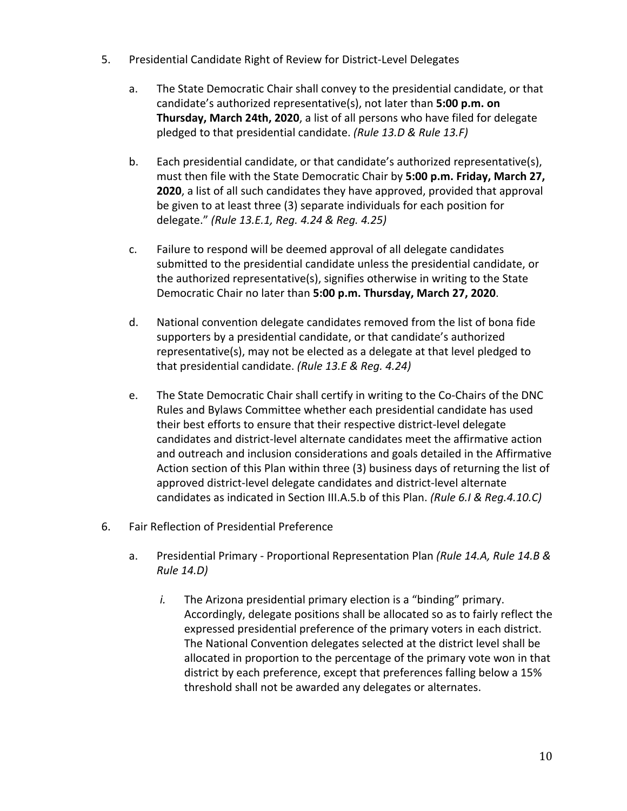- 5. Presidential Candidate Right of Review for District-Level Delegates
	- a. The State Democratic Chair shall convey to the presidential candidate, or that candidate's authorized representative(s), not later than **5:00 p.m. on Thursday, March 24th, 2020**, a list of all persons who have filed for delegate pledged to that presidential candidate. *(Rule 13.D & Rule 13.F)*
	- b. Each presidential candidate, or that candidate's authorized representative(s), must then file with the State Democratic Chair by **5:00 p.m. Friday, March 27, 2020**, a list of all such candidates they have approved, provided that approval be given to at least three (3) separate individuals for each position for delegate." *(Rule 13.E.1, Reg. 4.24 & Reg. 4.25)*
	- c. Failure to respond will be deemed approval of all delegate candidates submitted to the presidential candidate unless the presidential candidate, or the authorized representative(s), signifies otherwise in writing to the State Democratic Chair no later than **5:00 p.m. Thursday, March 27, 2020**.
	- d. National convention delegate candidates removed from the list of bona fide supporters by a presidential candidate, or that candidate's authorized representative(s), may not be elected as a delegate at that level pledged to that presidential candidate. *(Rule 13.E & Reg. 4.24)*
	- e. The State Democratic Chair shall certify in writing to the Co-Chairs of the DNC Rules and Bylaws Committee whether each presidential candidate has used their best efforts to ensure that their respective district-level delegate candidates and district-level alternate candidates meet the affirmative action and outreach and inclusion considerations and goals detailed in the Affirmative Action section of this Plan within three (3) business days of returning the list of approved district-level delegate candidates and district-level alternate candidates as indicated in Section III.A.5.b of this Plan. *(Rule 6.I & Reg.4.10.C)*
- 6. Fair Reflection of Presidential Preference
	- a. Presidential Primary Proportional Representation Plan *(Rule 14.A, Rule 14.B & Rule 14.D)*
		- *i.* The Arizona presidential primary election is a "binding" primary. Accordingly, delegate positions shall be allocated so as to fairly reflect the expressed presidential preference of the primary voters in each district. The National Convention delegates selected at the district level shall be allocated in proportion to the percentage of the primary vote won in that district by each preference, except that preferences falling below a 15% threshold shall not be awarded any delegates or alternates.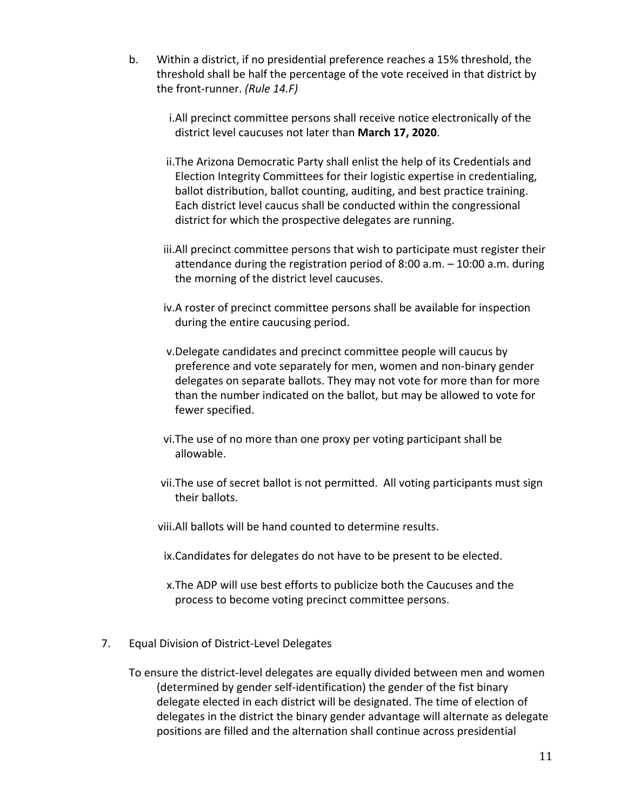- b. Within a district, if no presidential preference reaches a 15% threshold, the threshold shall be half the percentage of the vote received in that district by the front-runner. *(Rule 14.F)*
	- i.All precinct committee persons shall receive notice electronically of the district level caucuses not later than **March 17, 2020**.
	- ii.The Arizona Democratic Party shall enlist the help of its Credentials and Election Integrity Committees for their logistic expertise in credentialing, ballot distribution, ballot counting, auditing, and best practice training. Each district level caucus shall be conducted within the congressional district for which the prospective delegates are running.
	- iii.All precinct committee persons that wish to participate must register their attendance during the registration period of 8:00 a.m. – 10:00 a.m. during the morning of the district level caucuses.
	- iv.A roster of precinct committee persons shall be available for inspection during the entire caucusing period.
	- v.Delegate candidates and precinct committee people will caucus by preference and vote separately for men, women and non-binary gender delegates on separate ballots. They may not vote for more than for more than the number indicated on the ballot, but may be allowed to vote for fewer specified.
	- vi.The use of no more than one proxy per voting participant shall be allowable.
	- vii.The use of secret ballot is not permitted. All voting participants must sign their ballots.
	- viii.All ballots will be hand counted to determine results.
	- ix.Candidates for delegates do not have to be present to be elected.
	- x.The ADP will use best efforts to publicize both the Caucuses and the process to become voting precinct committee persons.
- 7. Equal Division of District-Level Delegates

To ensure the district-level delegates are equally divided between men and women (determined by gender self-identification) the gender of the fist binary delegate elected in each district will be designated. The time of election of delegates in the district the binary gender advantage will alternate as delegate positions are filled and the alternation shall continue across presidential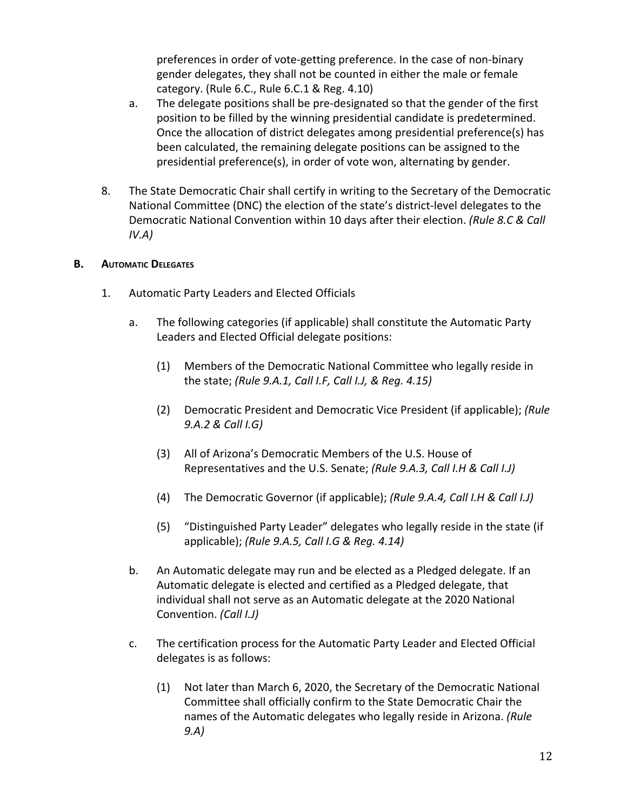preferences in order of vote-getting preference. In the case of non-binary gender delegates, they shall not be counted in either the male or female category. (Rule 6.C., Rule 6.C.1 & Reg. 4.10)

- a. The delegate positions shall be pre-designated so that the gender of the first position to be filled by the winning presidential candidate is predetermined. Once the allocation of district delegates among presidential preference(s) has been calculated, the remaining delegate positions can be assigned to the presidential preference(s), in order of vote won, alternating by gender.
- 8. The State Democratic Chair shall certify in writing to the Secretary of the Democratic National Committee (DNC) the election of the state's district-level delegates to the Democratic National Convention within 10 days after their election. *(Rule 8.C & Call IV.A)*

## **B. AUTOMATIC DELEGATES**

- 1. Automatic Party Leaders and Elected Officials
	- a. The following categories (if applicable) shall constitute the Automatic Party Leaders and Elected Official delegate positions:
		- (1) Members of the Democratic National Committee who legally reside in the state; *(Rule 9.A.1, Call I.F, Call I.J, & Reg. 4.15)*
		- (2) Democratic President and Democratic Vice President (if applicable); *(Rule 9.A.2 & Call I.G)*
		- (3) All of Arizona's Democratic Members of the U.S. House of Representatives and the U.S. Senate; *(Rule 9.A.3, Call I.H & Call I.J)*
		- (4) The Democratic Governor (if applicable); *(Rule 9.A.4, Call I.H & Call I.J)*
		- (5) "Distinguished Party Leader" delegates who legally reside in the state (if applicable); *(Rule 9.A.5, Call I.G & Reg. 4.14)*
	- b. An Automatic delegate may run and be elected as a Pledged delegate. If an Automatic delegate is elected and certified as a Pledged delegate, that individual shall not serve as an Automatic delegate at the 2020 National Convention. *(Call I.J)*
	- c. The certification process for the Automatic Party Leader and Elected Official delegates is as follows:
		- (1) Not later than March 6, 2020, the Secretary of the Democratic National Committee shall officially confirm to the State Democratic Chair the names of the Automatic delegates who legally reside in Arizona. *(Rule 9.A)*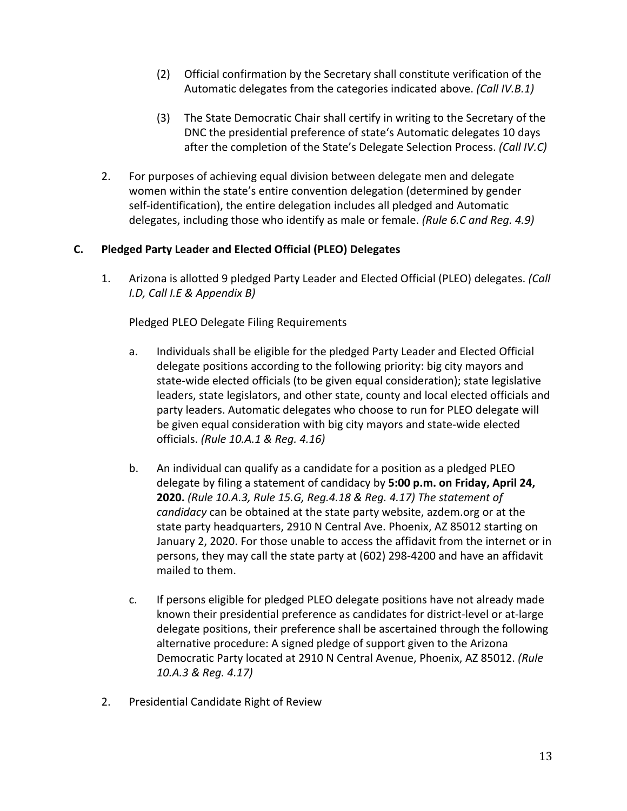- (2) Official confirmation by the Secretary shall constitute verification of the Automatic delegates from the categories indicated above. *(Call IV.B.1)*
- (3) The State Democratic Chair shall certify in writing to the Secretary of the DNC the presidential preference of state's Automatic delegates 10 days after the completion of the State's Delegate Selection Process. *(Call IV.C)*
- 2. For purposes of achieving equal division between delegate men and delegate women within the state's entire convention delegation (determined by gender self-identification), the entire delegation includes all pledged and Automatic delegates, including those who identify as male or female. *(Rule 6.C and Reg. 4.9)*

## **C. Pledged Party Leader and Elected Official (PLEO) Delegates**

1. Arizona is allotted 9 pledged Party Leader and Elected Official (PLEO) delegates. *(Call I.D, Call I.E & Appendix B)*

Pledged PLEO Delegate Filing Requirements

- a. Individuals shall be eligible for the pledged Party Leader and Elected Official delegate positions according to the following priority: big city mayors and state-wide elected officials (to be given equal consideration); state legislative leaders, state legislators, and other state, county and local elected officials and party leaders. Automatic delegates who choose to run for PLEO delegate will be given equal consideration with big city mayors and state-wide elected officials. *(Rule 10.A.1 & Reg. 4.16)*
- b. An individual can qualify as a candidate for a position as a pledged PLEO delegate by filing a statement of candidacy by **5:00 p.m. on Friday, April 24, 2020.** *(Rule 10.A.3, Rule 15.G, Reg.4.18 & Reg. 4.17) The statement of candidacy* can be obtained at the state party website, azdem.org or at the state party headquarters, 2910 N Central Ave. Phoenix, AZ 85012 starting on January 2, 2020. For those unable to access the affidavit from the internet or in persons, they may call the state party at (602) 298-4200 and have an affidavit mailed to them.
- c. If persons eligible for pledged PLEO delegate positions have not already made known their presidential preference as candidates for district-level or at-large delegate positions, their preference shall be ascertained through the following alternative procedure: A signed pledge of support given to the Arizona Democratic Party located at 2910 N Central Avenue, Phoenix, AZ 85012. *(Rule 10.A.3 & Reg. 4.17)*
- 2. Presidential Candidate Right of Review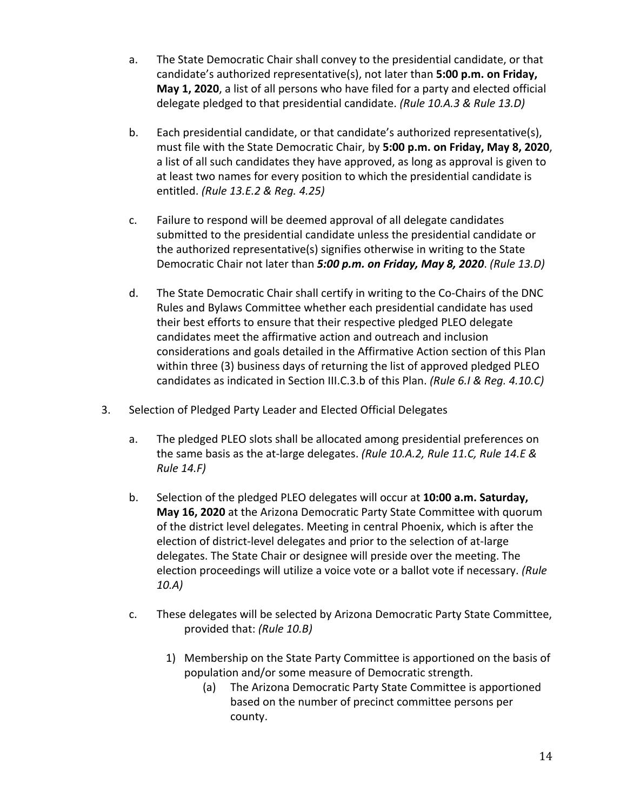- a. The State Democratic Chair shall convey to the presidential candidate, or that candidate's authorized representative(s), not later than **5:00 p.m. on Friday, May 1, 2020**, a list of all persons who have filed for a party and elected official delegate pledged to that presidential candidate. *(Rule 10.A.3 & Rule 13.D)*
- b. Each presidential candidate, or that candidate's authorized representative(s), must file with the State Democratic Chair, by **5:00 p.m. on Friday, May 8, 2020**, a list of all such candidates they have approved, as long as approval is given to at least two names for every position to which the presidential candidate is entitled. *(Rule 13.E.2 & Reg. 4.25)*
- c. Failure to respond will be deemed approval of all delegate candidates submitted to the presidential candidate unless the presidential candidate or the authorized representative(s) signifies otherwise in writing to the State Democratic Chair not later than *5:00 p.m. on Friday, May 8, 2020*. *(Rule 13.D)*
- d. The State Democratic Chair shall certify in writing to the Co-Chairs of the DNC Rules and Bylaws Committee whether each presidential candidate has used their best efforts to ensure that their respective pledged PLEO delegate candidates meet the affirmative action and outreach and inclusion considerations and goals detailed in the Affirmative Action section of this Plan within three (3) business days of returning the list of approved pledged PLEO candidates as indicated in Section III.C.3.b of this Plan. *(Rule 6.I & Reg. 4.10.C)*
- 3. Selection of Pledged Party Leader and Elected Official Delegates
	- a. The pledged PLEO slots shall be allocated among presidential preferences on the same basis as the at-large delegates. *(Rule 10.A.2, Rule 11.C, Rule 14.E & Rule 14.F)*
	- b. Selection of the pledged PLEO delegates will occur at **10:00 a.m. Saturday, May 16, 2020** at the Arizona Democratic Party State Committee with quorum of the district level delegates. Meeting in central Phoenix, which is after the election of district-level delegates and prior to the selection of at-large delegates. The State Chair or designee will preside over the meeting. The election proceedings will utilize a voice vote or a ballot vote if necessary. *(Rule 10.A)*
	- c. These delegates will be selected by Arizona Democratic Party State Committee, provided that: *(Rule 10.B)*
		- 1) Membership on the State Party Committee is apportioned on the basis of population and/or some measure of Democratic strength.
			- (a) The Arizona Democratic Party State Committee is apportioned based on the number of precinct committee persons per county.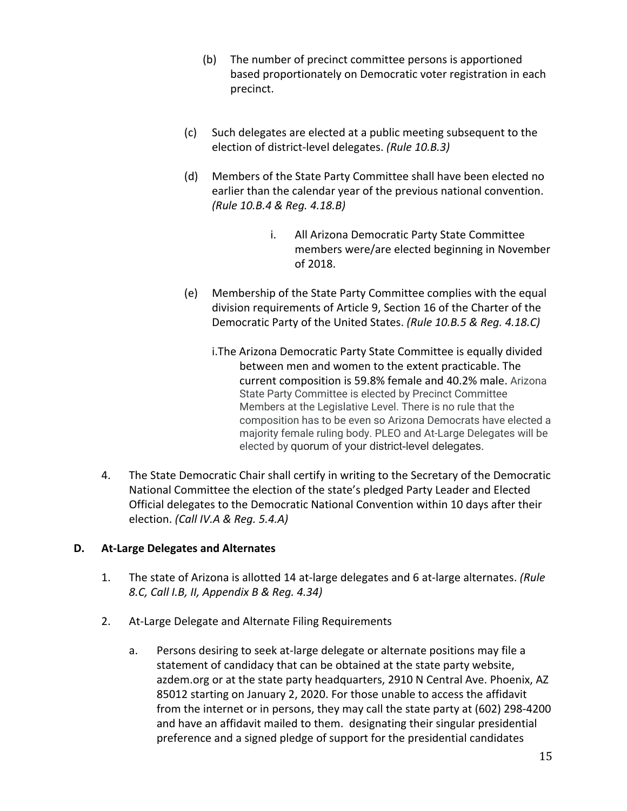- (b) The number of precinct committee persons is apportioned based proportionately on Democratic voter registration in each precinct.
- (c) Such delegates are elected at a public meeting subsequent to the election of district-level delegates. *(Rule 10.B.3)*
- (d) Members of the State Party Committee shall have been elected no earlier than the calendar year of the previous national convention. *(Rule 10.B.4 & Reg. 4.18.B)*
	- i. All Arizona Democratic Party State Committee members were/are elected beginning in November of 2018.
- (e) Membership of the State Party Committee complies with the equal division requirements of Article 9, Section 16 of the Charter of the Democratic Party of the United States. *(Rule 10.B.5 & Reg. 4.18.C)*
	- i.The Arizona Democratic Party State Committee is equally divided between men and women to the extent practicable. The current composition is 59.8% female and 40.2% male. Arizona State Party Committee is elected by Precinct Committee Members at the Legislative Level. There is no rule that the composition has to be even so Arizona Democrats have elected a majority female ruling body. PLEO and At-Large Delegates will be elected by quorum of your district-level delegates.
- 4. The State Democratic Chair shall certify in writing to the Secretary of the Democratic National Committee the election of the state's pledged Party Leader and Elected Official delegates to the Democratic National Convention within 10 days after their election. *(Call IV.A & Reg. 5.4.A)*

## **D. At-Large Delegates and Alternates**

- 1. The state of Arizona is allotted 14 at-large delegates and 6 at-large alternates. *(Rule 8.C, Call I.B, II, Appendix B & Reg. 4.34)*
- 2. At-Large Delegate and Alternate Filing Requirements
	- a. Persons desiring to seek at-large delegate or alternate positions may file a statement of candidacy that can be obtained at the state party website, azdem.org or at the state party headquarters, 2910 N Central Ave. Phoenix, AZ 85012 starting on January 2, 2020. For those unable to access the affidavit from the internet or in persons, they may call the state party at (602) 298-4200 and have an affidavit mailed to them. designating their singular presidential preference and a signed pledge of support for the presidential candidates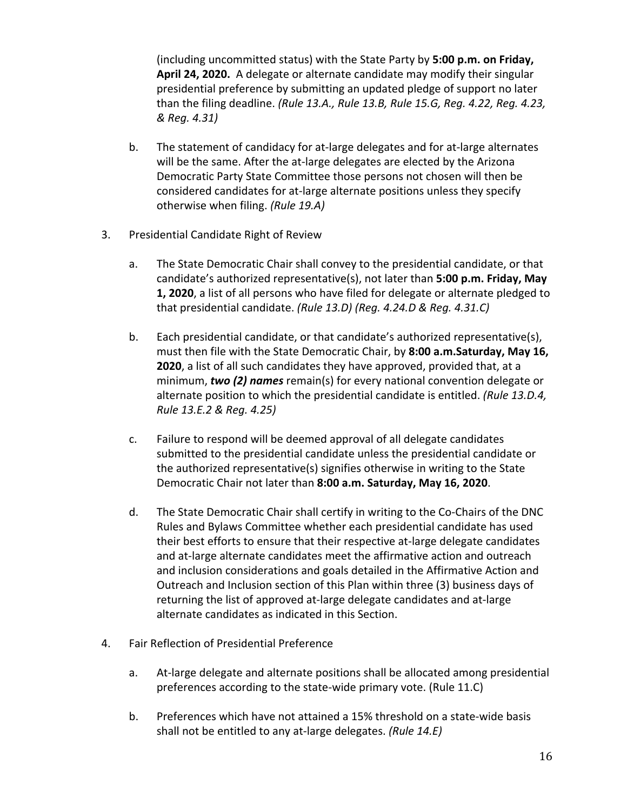(including uncommitted status) with the State Party by **5:00 p.m. on Friday, April 24, 2020.** A delegate or alternate candidate may modify their singular presidential preference by submitting an updated pledge of support no later than the filing deadline. *(Rule 13.A., Rule 13.B, Rule 15.G, Reg. 4.22, Reg. 4.23, & Reg. 4.31)*

- b. The statement of candidacy for at-large delegates and for at-large alternates will be the same. After the at-large delegates are elected by the Arizona Democratic Party State Committee those persons not chosen will then be considered candidates for at-large alternate positions unless they specify otherwise when filing. *(Rule 19.A)*
- 3. Presidential Candidate Right of Review
	- a. The State Democratic Chair shall convey to the presidential candidate, or that candidate's authorized representative(s), not later than **5:00 p.m. Friday, May 1, 2020**, a list of all persons who have filed for delegate or alternate pledged to that presidential candidate. *(Rule 13.D) (Reg. 4.24.D & Reg. 4.31.C)*
	- b. Each presidential candidate, or that candidate's authorized representative(s), must then file with the State Democratic Chair, by **8:00 a.m.Saturday, May 16, 2020**, a list of all such candidates they have approved, provided that, at a minimum, *two (2) names* remain(s) for every national convention delegate or alternate position to which the presidential candidate is entitled. *(Rule 13.D.4, Rule 13.E.2 & Reg. 4.25)*
	- c. Failure to respond will be deemed approval of all delegate candidates submitted to the presidential candidate unless the presidential candidate or the authorized representative(s) signifies otherwise in writing to the State Democratic Chair not later than **8:00 a.m. Saturday, May 16, 2020**.
	- d. The State Democratic Chair shall certify in writing to the Co-Chairs of the DNC Rules and Bylaws Committee whether each presidential candidate has used their best efforts to ensure that their respective at-large delegate candidates and at-large alternate candidates meet the affirmative action and outreach and inclusion considerations and goals detailed in the Affirmative Action and Outreach and Inclusion section of this Plan within three (3) business days of returning the list of approved at-large delegate candidates and at-large alternate candidates as indicated in this Section.
- 4. Fair Reflection of Presidential Preference
	- a. At-large delegate and alternate positions shall be allocated among presidential preferences according to the state-wide primary vote. (Rule 11.C)
	- b. Preferences which have not attained a 15% threshold on a state-wide basis shall not be entitled to any at-large delegates. *(Rule 14.E)*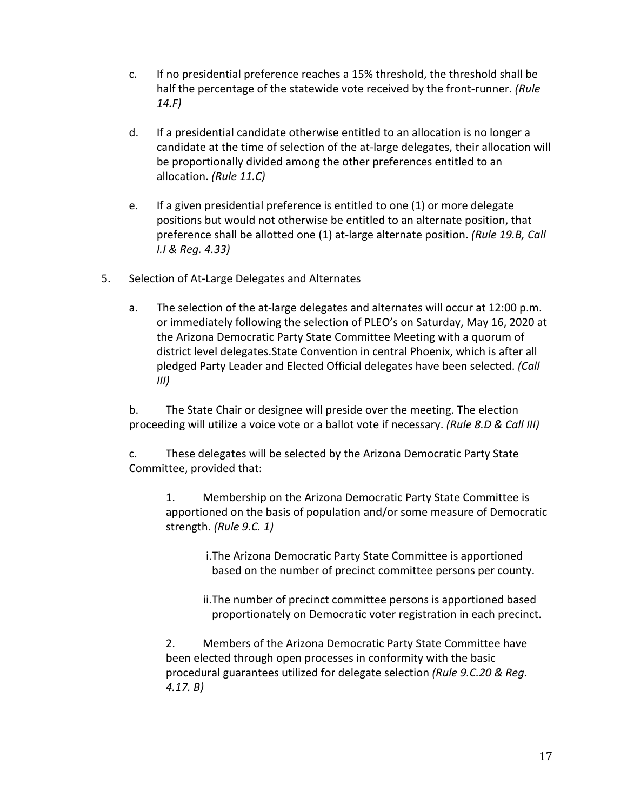- c. If no presidential preference reaches a 15% threshold, the threshold shall be half the percentage of the statewide vote received by the front-runner. *(Rule 14.F)*
- d. If a presidential candidate otherwise entitled to an allocation is no longer a candidate at the time of selection of the at-large delegates, their allocation will be proportionally divided among the other preferences entitled to an allocation. *(Rule 11.C)*
- e. If a given presidential preference is entitled to one (1) or more delegate positions but would not otherwise be entitled to an alternate position, that preference shall be allotted one (1) at-large alternate position. *(Rule 19.B, Call I.I & Reg. 4.33)*
- 5. Selection of At-Large Delegates and Alternates
	- a. The selection of the at-large delegates and alternates will occur at 12:00 p.m. or immediately following the selection of PLEO's on Saturday, May 16, 2020 at the Arizona Democratic Party State Committee Meeting with a quorum of district level delegates.State Convention in central Phoenix, which is after all pledged Party Leader and Elected Official delegates have been selected. *(Call III)*

b. The State Chair or designee will preside over the meeting. The election proceeding will utilize a voice vote or a ballot vote if necessary. *(Rule 8.D & Call III)*

c. These delegates will be selected by the Arizona Democratic Party State Committee, provided that:

1. Membership on the Arizona Democratic Party State Committee is apportioned on the basis of population and/or some measure of Democratic strength. *(Rule 9.C. 1)*

> i.The Arizona Democratic Party State Committee is apportioned based on the number of precinct committee persons per county.

ii.The number of precinct committee persons is apportioned based proportionately on Democratic voter registration in each precinct.

2. Members of the Arizona Democratic Party State Committee have been elected through open processes in conformity with the basic procedural guarantees utilized for delegate selection *(Rule 9.C.20 & Reg. 4.17. B)*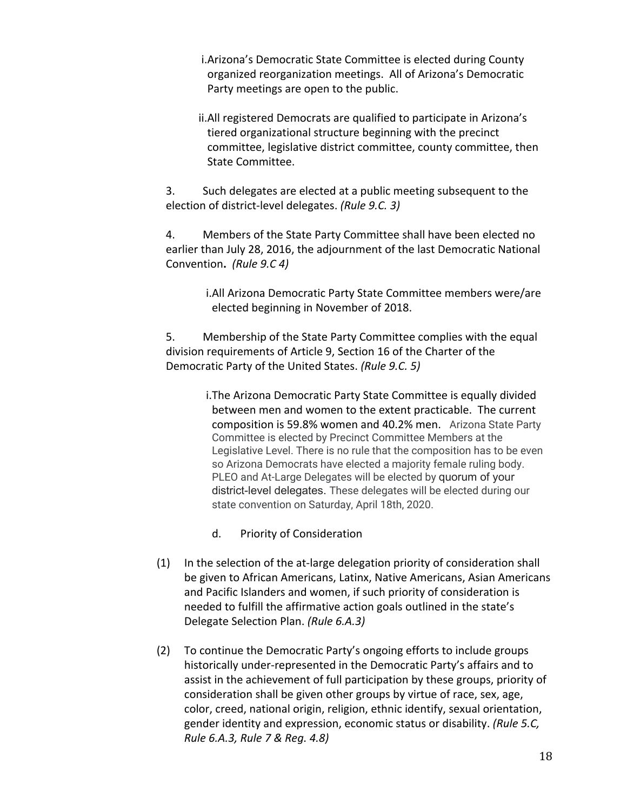i.Arizona's Democratic State Committee is elected during County organized reorganization meetings. All of Arizona's Democratic Party meetings are open to the public.

ii.All registered Democrats are qualified to participate in Arizona's tiered organizational structure beginning with the precinct committee, legislative district committee, county committee, then State Committee.

3. Such delegates are elected at a public meeting subsequent to the election of district-level delegates. *(Rule 9.C. 3)*

4. Members of the State Party Committee shall have been elected no earlier than July 28, 2016, the adjournment of the last Democratic National Convention**.** *(Rule 9.C 4)*

> i.All Arizona Democratic Party State Committee members were/are elected beginning in November of 2018.

5. Membership of the State Party Committee complies with the equal division requirements of Article 9, Section 16 of the Charter of the Democratic Party of the United States. *(Rule 9.C. 5)*

> i.The Arizona Democratic Party State Committee is equally divided between men and women to the extent practicable. The current composition is 59.8% women and 40.2% men. Arizona State Party Committee is elected by Precinct Committee Members at the Legislative Level. There is no rule that the composition has to be even so Arizona Democrats have elected a majority female ruling body. PLEO and At-Large Delegates will be elected by quorum of your district-level delegates. These delegates will be elected during our state convention on Saturday, April 18th, 2020.

- d. Priority of Consideration
- (1) In the selection of the at-large delegation priority of consideration shall be given to African Americans, Latinx, Native Americans, Asian Americans and Pacific Islanders and women, if such priority of consideration is needed to fulfill the affirmative action goals outlined in the state's Delegate Selection Plan. *(Rule 6.A.3)*
- (2) To continue the Democratic Party's ongoing efforts to include groups historically under-represented in the Democratic Party's affairs and to assist in the achievement of full participation by these groups, priority of consideration shall be given other groups by virtue of race, sex, age, color, creed, national origin, religion, ethnic identify, sexual orientation, gender identity and expression, economic status or disability. *(Rule 5.C, Rule 6.A.3, Rule 7 & Reg. 4.8)*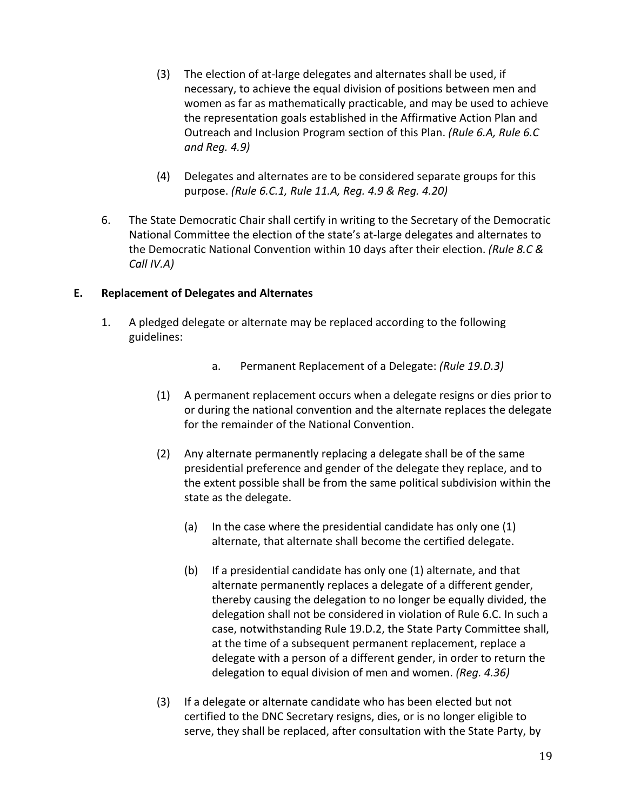- (3) The election of at-large delegates and alternates shall be used, if necessary, to achieve the equal division of positions between men and women as far as mathematically practicable, and may be used to achieve the representation goals established in the Affirmative Action Plan and Outreach and Inclusion Program section of this Plan. *(Rule 6.A, Rule 6.C and Reg. 4.9)*
- (4) Delegates and alternates are to be considered separate groups for this purpose. *(Rule 6.C.1, Rule 11.A, Reg. 4.9 & Reg. 4.20)*
- 6. The State Democratic Chair shall certify in writing to the Secretary of the Democratic National Committee the election of the state's at-large delegates and alternates to the Democratic National Convention within 10 days after their election. *(Rule 8.C & Call IV.A)*

## **E. Replacement of Delegates and Alternates**

- 1. A pledged delegate or alternate may be replaced according to the following guidelines:
	- a. Permanent Replacement of a Delegate: *(Rule 19.D.3)*
	- (1) A permanent replacement occurs when a delegate resigns or dies prior to or during the national convention and the alternate replaces the delegate for the remainder of the National Convention.
	- (2) Any alternate permanently replacing a delegate shall be of the same presidential preference and gender of the delegate they replace, and to the extent possible shall be from the same political subdivision within the state as the delegate.
		- (a) In the case where the presidential candidate has only one (1) alternate, that alternate shall become the certified delegate.
		- (b) If a presidential candidate has only one (1) alternate, and that alternate permanently replaces a delegate of a different gender, thereby causing the delegation to no longer be equally divided, the delegation shall not be considered in violation of Rule 6.C. In such a case, notwithstanding Rule 19.D.2, the State Party Committee shall, at the time of a subsequent permanent replacement, replace a delegate with a person of a different gender, in order to return the delegation to equal division of men and women. *(Reg. 4.36)*
	- (3) If a delegate or alternate candidate who has been elected but not certified to the DNC Secretary resigns, dies, or is no longer eligible to serve, they shall be replaced, after consultation with the State Party, by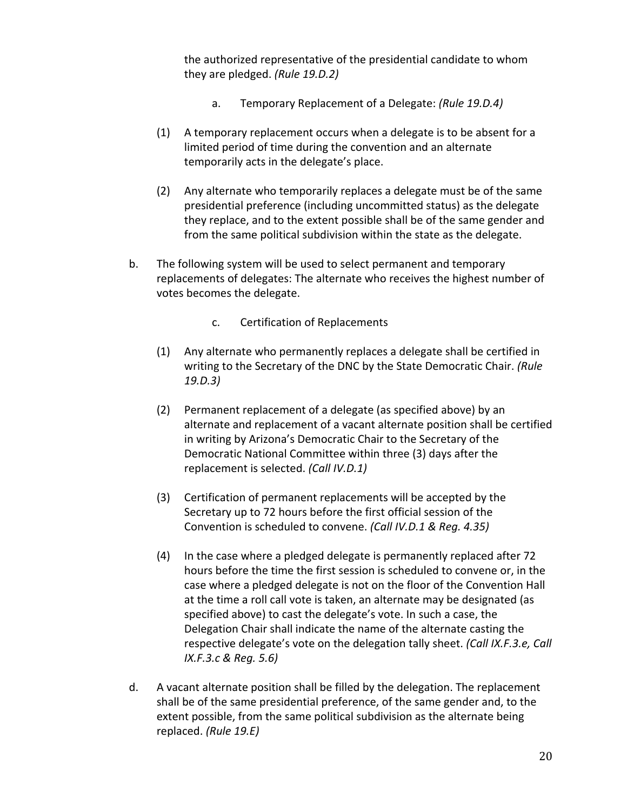the authorized representative of the presidential candidate to whom they are pledged. *(Rule 19.D.2)*

- a. Temporary Replacement of a Delegate: *(Rule 19.D.4)*
- (1) A temporary replacement occurs when a delegate is to be absent for a limited period of time during the convention and an alternate temporarily acts in the delegate's place.
- (2) Any alternate who temporarily replaces a delegate must be of the same presidential preference (including uncommitted status) as the delegate they replace, and to the extent possible shall be of the same gender and from the same political subdivision within the state as the delegate.
- b. The following system will be used to select permanent and temporary replacements of delegates: The alternate who receives the highest number of votes becomes the delegate.
	- c. Certification of Replacements
	- (1) Any alternate who permanently replaces a delegate shall be certified in writing to the Secretary of the DNC by the State Democratic Chair. *(Rule 19.D.3)*
	- (2) Permanent replacement of a delegate (as specified above) by an alternate and replacement of a vacant alternate position shall be certified in writing by Arizona's Democratic Chair to the Secretary of the Democratic National Committee within three (3) days after the replacement is selected. *(Call IV.D.1)*
	- (3) Certification of permanent replacements will be accepted by the Secretary up to 72 hours before the first official session of the Convention is scheduled to convene. *(Call IV.D.1 & Reg. 4.35)*
	- (4) In the case where a pledged delegate is permanently replaced after 72 hours before the time the first session is scheduled to convene or, in the case where a pledged delegate is not on the floor of the Convention Hall at the time a roll call vote is taken, an alternate may be designated (as specified above) to cast the delegate's vote. In such a case, the Delegation Chair shall indicate the name of the alternate casting the respective delegate's vote on the delegation tally sheet. *(Call IX.F.3.e, Call IX.F.3.c & Reg. 5.6)*
- d. A vacant alternate position shall be filled by the delegation. The replacement shall be of the same presidential preference, of the same gender and, to the extent possible, from the same political subdivision as the alternate being replaced. *(Rule 19.E)*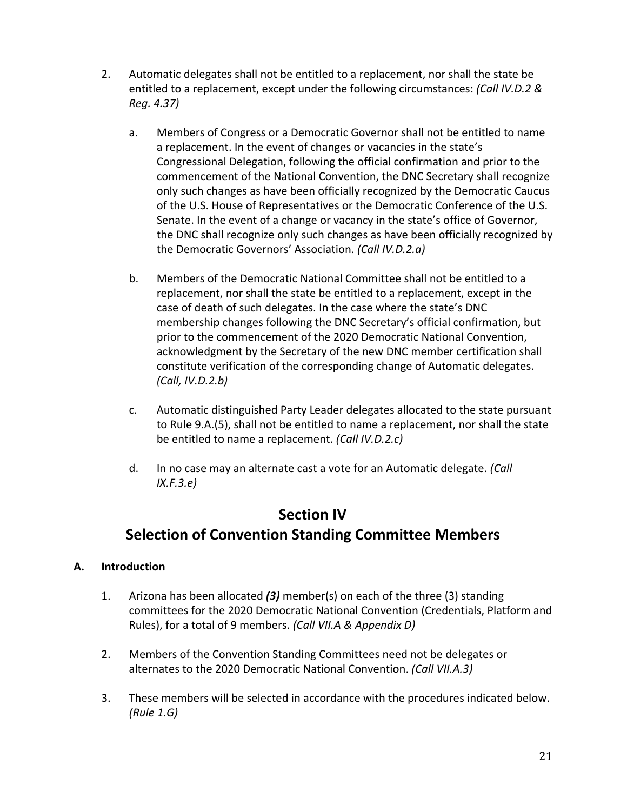- 2. Automatic delegates shall not be entitled to a replacement, nor shall the state be entitled to a replacement, except under the following circumstances: *(Call IV.D.2 & Reg. 4.37)*
	- a. Members of Congress or a Democratic Governor shall not be entitled to name a replacement. In the event of changes or vacancies in the state's Congressional Delegation, following the official confirmation and prior to the commencement of the National Convention, the DNC Secretary shall recognize only such changes as have been officially recognized by the Democratic Caucus of the U.S. House of Representatives or the Democratic Conference of the U.S. Senate. In the event of a change or vacancy in the state's office of Governor, the DNC shall recognize only such changes as have been officially recognized by the Democratic Governors' Association. *(Call IV.D.2.a)*
	- b. Members of the Democratic National Committee shall not be entitled to a replacement, nor shall the state be entitled to a replacement, except in the case of death of such delegates. In the case where the state's DNC membership changes following the DNC Secretary's official confirmation, but prior to the commencement of the 2020 Democratic National Convention, acknowledgment by the Secretary of the new DNC member certification shall constitute verification of the corresponding change of Automatic delegates. *(Call, IV.D.2.b)*
	- c. Automatic distinguished Party Leader delegates allocated to the state pursuant to Rule 9.A.(5), shall not be entitled to name a replacement, nor shall the state be entitled to name a replacement. *(Call IV.D.2.c)*
	- d. In no case may an alternate cast a vote for an Automatic delegate. *(Call IX.F.3.e)*

## **Section IV Selection of Convention Standing Committee Members**

## **A. Introduction**

- 1. Arizona has been allocated *(3)* member(s) on each of the three (3) standing committees for the 2020 Democratic National Convention (Credentials, Platform and Rules), for a total of 9 members. *(Call VII.A & Appendix D)*
- 2. Members of the Convention Standing Committees need not be delegates or alternates to the 2020 Democratic National Convention. *(Call VII.A.3)*
- 3. These members will be selected in accordance with the procedures indicated below. *(Rule 1.G)*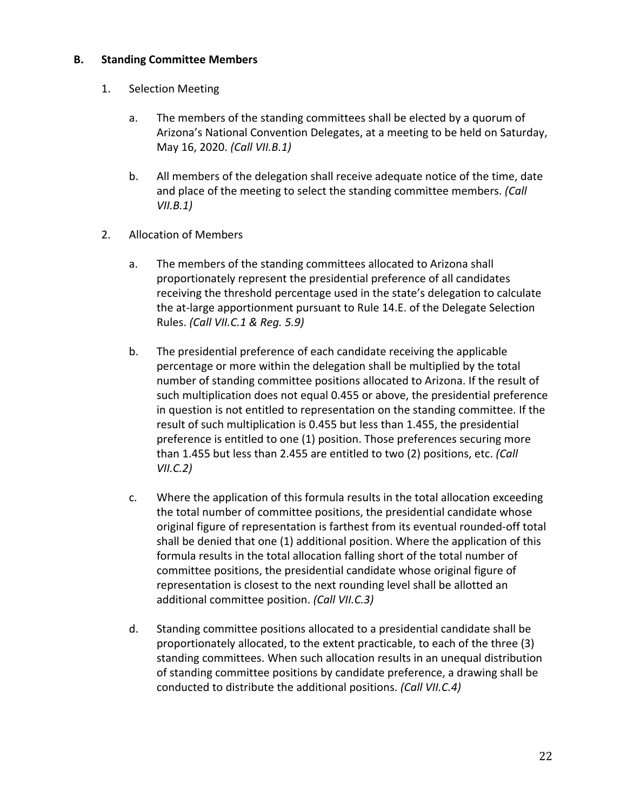#### **B. Standing Committee Members**

- 1. Selection Meeting
	- a. The members of the standing committees shall be elected by a quorum of Arizona's National Convention Delegates, at a meeting to be held on Saturday, May 16, 2020. *(Call VII.B.1)*
	- b. All members of the delegation shall receive adequate notice of the time, date and place of the meeting to select the standing committee members. *(Call VII.B.1)*
- 2. Allocation of Members
	- a. The members of the standing committees allocated to Arizona shall proportionately represent the presidential preference of all candidates receiving the threshold percentage used in the state's delegation to calculate the at-large apportionment pursuant to Rule 14.E. of the Delegate Selection Rules. *(Call VII.C.1 & Reg. 5.9)*
	- b. The presidential preference of each candidate receiving the applicable percentage or more within the delegation shall be multiplied by the total number of standing committee positions allocated to Arizona. If the result of such multiplication does not equal 0.455 or above, the presidential preference in question is not entitled to representation on the standing committee. If the result of such multiplication is 0.455 but less than 1.455, the presidential preference is entitled to one (1) position. Those preferences securing more than 1.455 but less than 2.455 are entitled to two (2) positions, etc. *(Call VII.C.2)*
	- c. Where the application of this formula results in the total allocation exceeding the total number of committee positions, the presidential candidate whose original figure of representation is farthest from its eventual rounded-off total shall be denied that one (1) additional position. Where the application of this formula results in the total allocation falling short of the total number of committee positions, the presidential candidate whose original figure of representation is closest to the next rounding level shall be allotted an additional committee position. *(Call VII.C.3)*
	- d. Standing committee positions allocated to a presidential candidate shall be proportionately allocated, to the extent practicable, to each of the three (3) standing committees. When such allocation results in an unequal distribution of standing committee positions by candidate preference, a drawing shall be conducted to distribute the additional positions. *(Call VII.C.4)*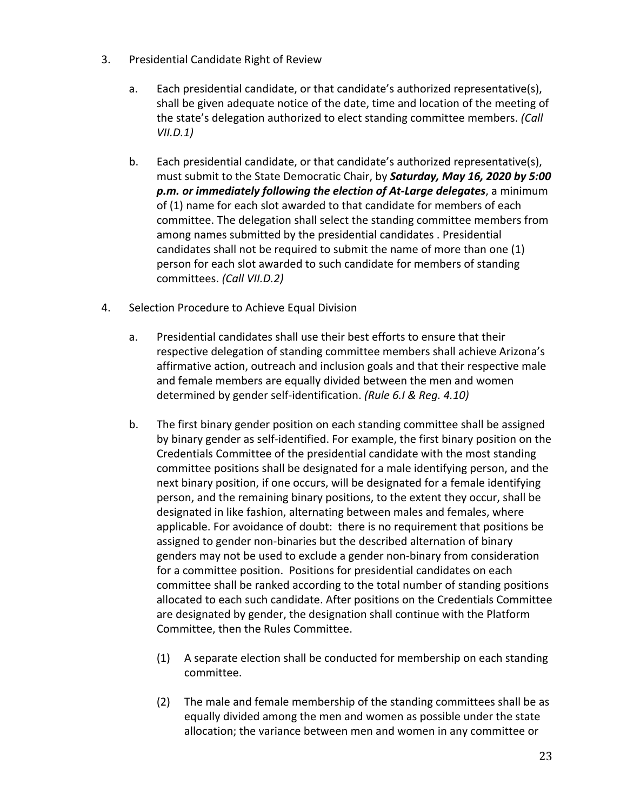- 3. Presidential Candidate Right of Review
	- a. Each presidential candidate, or that candidate's authorized representative(s), shall be given adequate notice of the date, time and location of the meeting of the state's delegation authorized to elect standing committee members. *(Call VII.D.1)*
	- b. Each presidential candidate, or that candidate's authorized representative(s), must submit to the State Democratic Chair, by *Saturday, May 16, 2020 by 5:00 p.m. or immediately following the election of At-Large delegates*, a minimum of (1) name for each slot awarded to that candidate for members of each committee. The delegation shall select the standing committee members from among names submitted by the presidential candidates . Presidential candidates shall not be required to submit the name of more than one (1) person for each slot awarded to such candidate for members of standing committees. *(Call VII.D.2)*
- 4. Selection Procedure to Achieve Equal Division
	- a. Presidential candidates shall use their best efforts to ensure that their respective delegation of standing committee members shall achieve Arizona's affirmative action, outreach and inclusion goals and that their respective male and female members are equally divided between the men and women determined by gender self-identification. *(Rule 6.I & Reg. 4.10)*
	- b. The first binary gender position on each standing committee shall be assigned by binary gender as self-identified. For example, the first binary position on the Credentials Committee of the presidential candidate with the most standing committee positions shall be designated for a male identifying person, and the next binary position, if one occurs, will be designated for a female identifying person, and the remaining binary positions, to the extent they occur, shall be designated in like fashion, alternating between males and females, where applicable. For avoidance of doubt: there is no requirement that positions be assigned to gender non-binaries but the described alternation of binary genders may not be used to exclude a gender non-binary from consideration for a committee position. Positions for presidential candidates on each committee shall be ranked according to the total number of standing positions allocated to each such candidate. After positions on the Credentials Committee are designated by gender, the designation shall continue with the Platform Committee, then the Rules Committee.
		- (1) A separate election shall be conducted for membership on each standing committee.
		- (2) The male and female membership of the standing committees shall be as equally divided among the men and women as possible under the state allocation; the variance between men and women in any committee or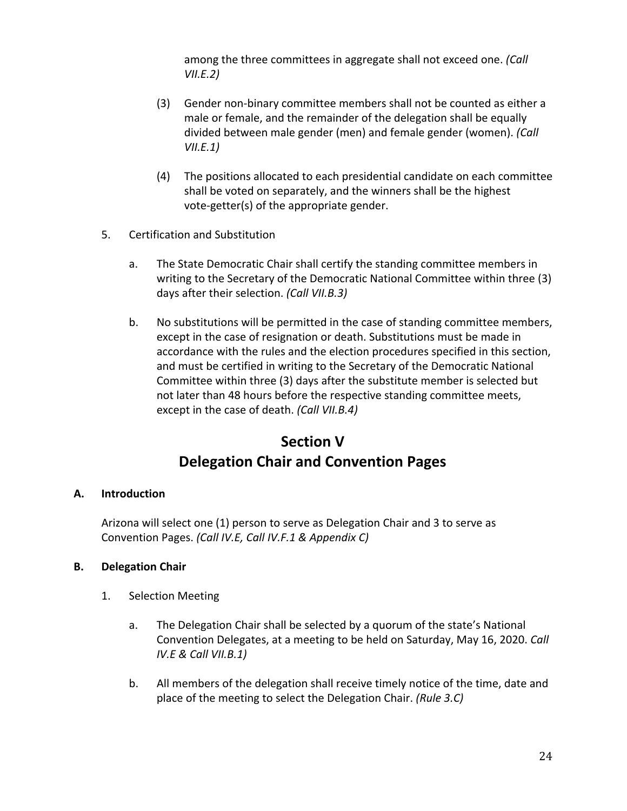among the three committees in aggregate shall not exceed one. *(Call VII.E.2)*

- (3) Gender non-binary committee members shall not be counted as either a male or female, and the remainder of the delegation shall be equally divided between male gender (men) and female gender (women). *(Call VII.E.1)*
- (4) The positions allocated to each presidential candidate on each committee shall be voted on separately, and the winners shall be the highest vote-getter(s) of the appropriate gender.
- 5. Certification and Substitution
	- a. The State Democratic Chair shall certify the standing committee members in writing to the Secretary of the Democratic National Committee within three (3) days after their selection. *(Call VII.B.3)*
	- b. No substitutions will be permitted in the case of standing committee members, except in the case of resignation or death. Substitutions must be made in accordance with the rules and the election procedures specified in this section, and must be certified in writing to the Secretary of the Democratic National Committee within three (3) days after the substitute member is selected but not later than 48 hours before the respective standing committee meets, except in the case of death. *(Call VII.B.4)*

## **Section V Delegation Chair and Convention Pages**

#### **A. Introduction**

Arizona will select one (1) person to serve as Delegation Chair and 3 to serve as Convention Pages. *(Call IV.E, Call IV.F.1 & Appendix C)*

## **B. Delegation Chair**

- 1. Selection Meeting
	- a. The Delegation Chair shall be selected by a quorum of the state's National Convention Delegates, at a meeting to be held on Saturday, May 16, 2020. *Call IV.E & Call VII.B.1)*
	- b. All members of the delegation shall receive timely notice of the time, date and place of the meeting to select the Delegation Chair. *(Rule 3.C)*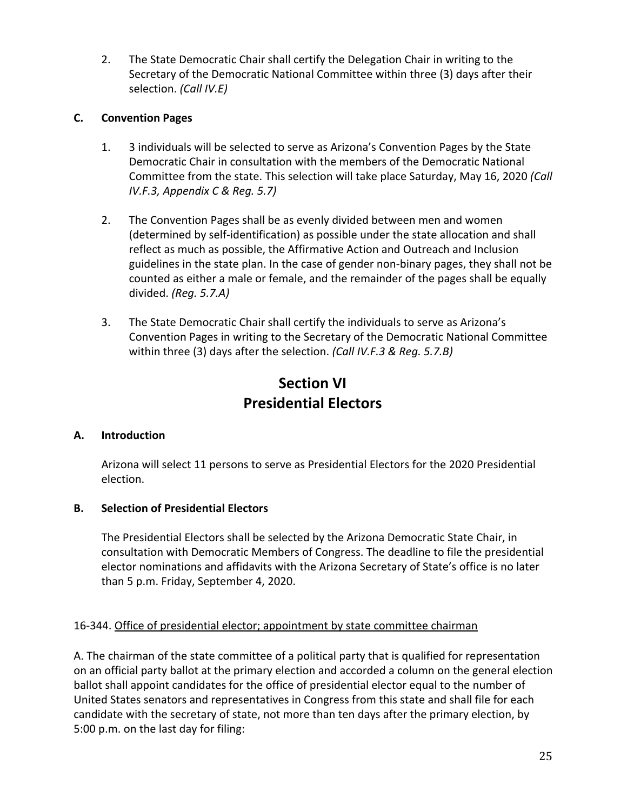2. The State Democratic Chair shall certify the Delegation Chair in writing to the Secretary of the Democratic National Committee within three (3) days after their selection. *(Call IV.E)*

## **C. Convention Pages**

- 1. 3 individuals will be selected to serve as Arizona's Convention Pages by the State Democratic Chair in consultation with the members of the Democratic National Committee from the state. This selection will take place Saturday, May 16, 2020 *(Call IV.F.3, Appendix C & Reg. 5.7)*
- 2. The Convention Pages shall be as evenly divided between men and women (determined by self-identification) as possible under the state allocation and shall reflect as much as possible, the Affirmative Action and Outreach and Inclusion guidelines in the state plan. In the case of gender non-binary pages, they shall not be counted as either a male or female, and the remainder of the pages shall be equally divided. *(Reg. 5.7.A)*
- 3. The State Democratic Chair shall certify the individuals to serve as Arizona's Convention Pages in writing to the Secretary of the Democratic National Committee within three (3) days after the selection. *(Call IV.F.3 & Reg. 5.7.B)*

## **Section VI Presidential Electors**

## **A. Introduction**

Arizona will select 11 persons to serve as Presidential Electors for the 2020 Presidential election.

## **B. Selection of Presidential Electors**

The Presidential Electors shall be selected by the Arizona Democratic State Chair, in consultation with Democratic Members of Congress. The deadline to file the presidential elector nominations and affidavits with the Arizona Secretary of State's office is no later than 5 p.m. Friday, September 4, 2020.

## 16-344. Office of presidential elector; appointment by state committee chairman

A. The chairman of the state committee of a political party that is qualified for representation on an official party ballot at the primary election and accorded a column on the general election ballot shall appoint candidates for the office of presidential elector equal to the number of United States senators and representatives in Congress from this state and shall file for each candidate with the secretary of state, not more than ten days after the primary election, by 5:00 p.m. on the last day for filing: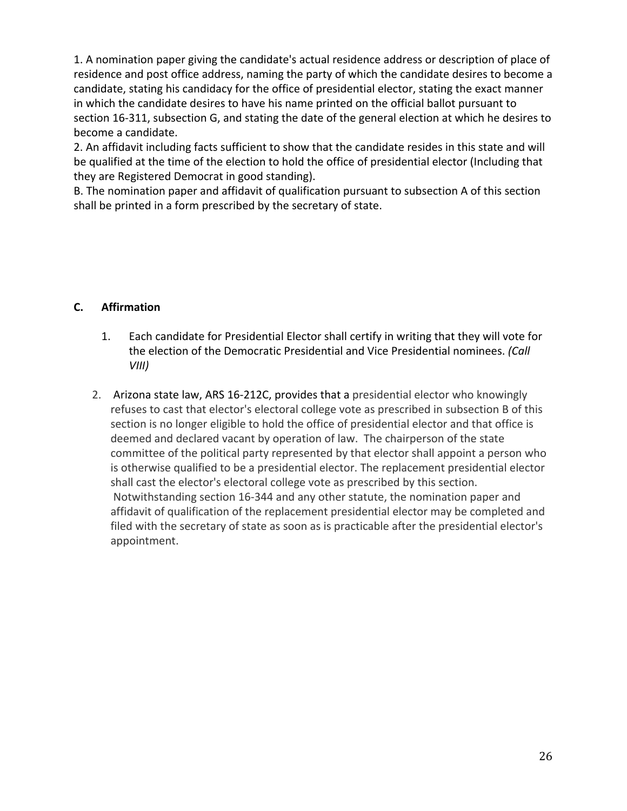1. A nomination paper giving the candidate's actual residence address or description of place of residence and post office address, naming the party of which the candidate desires to become a candidate, stating his candidacy for the office of presidential elector, stating the exact manner in which the candidate desires to have his name printed on the official ballot pursuant to section 16-311, subsection G, and stating the date of the general election at which he desires to become a candidate.

2. An affidavit including facts sufficient to show that the candidate resides in this state and will be qualified at the time of the election to hold the office of presidential elector (Including that they are Registered Democrat in good standing).

B. The nomination paper and affidavit of qualification pursuant to subsection A of this section shall be printed in a form prescribed by the secretary of state.

## **C. Affirmation**

- 1. Each candidate for Presidential Elector shall certify in writing that they will vote for the election of the Democratic Presidential and Vice Presidential nominees. *(Call VIII)*
- 2. Arizona state law, ARS 16-212C, provides that a presidential elector who knowingly refuses to cast that elector's electoral college vote as prescribed in subsection B of this section is no longer eligible to hold the office of presidential elector and that office is deemed and declared vacant by operation of law. The chairperson of the state committee of the political party represented by that elector shall appoint a person who is otherwise qualified to be a presidential elector. The replacement presidential elector shall cast the elector's electoral college vote as prescribed by this section. Notwithstanding section 16-344 and any other statute, the nomination paper and affidavit of qualification of the replacement presidential elector may be completed and filed with the secretary of state as soon as is practicable after the presidential elector's appointment.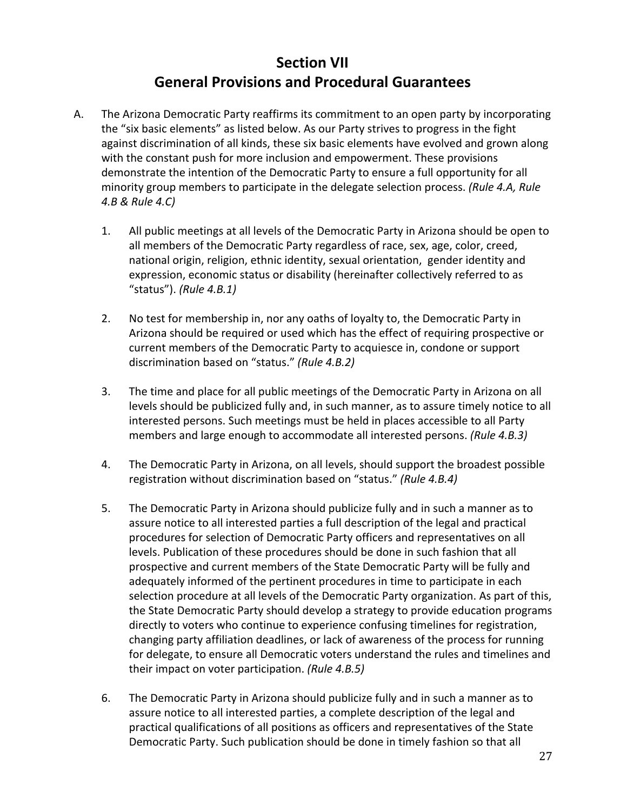## **Section VII General Provisions and Procedural Guarantees**

- A. The Arizona Democratic Party reaffirms its commitment to an open party by incorporating the "six basic elements" as listed below. As our Party strives to progress in the fight against discrimination of all kinds, these six basic elements have evolved and grown along with the constant push for more inclusion and empowerment. These provisions demonstrate the intention of the Democratic Party to ensure a full opportunity for all minority group members to participate in the delegate selection process. *(Rule 4.A, Rule 4.B & Rule 4.C)*
	- 1. All public meetings at all levels of the Democratic Party in Arizona should be open to all members of the Democratic Party regardless of race, sex, age, color, creed, national origin, religion, ethnic identity, sexual orientation, gender identity and expression, economic status or disability (hereinafter collectively referred to as "status"). *(Rule 4.B.1)*
	- 2. No test for membership in, nor any oaths of loyalty to, the Democratic Party in Arizona should be required or used which has the effect of requiring prospective or current members of the Democratic Party to acquiesce in, condone or support discrimination based on "status." *(Rule 4.B.2)*
	- 3. The time and place for all public meetings of the Democratic Party in Arizona on all levels should be publicized fully and, in such manner, as to assure timely notice to all interested persons. Such meetings must be held in places accessible to all Party members and large enough to accommodate all interested persons. *(Rule 4.B.3)*
	- 4. The Democratic Party in Arizona, on all levels, should support the broadest possible registration without discrimination based on "status." *(Rule 4.B.4)*
	- 5. The Democratic Party in Arizona should publicize fully and in such a manner as to assure notice to all interested parties a full description of the legal and practical procedures for selection of Democratic Party officers and representatives on all levels. Publication of these procedures should be done in such fashion that all prospective and current members of the State Democratic Party will be fully and adequately informed of the pertinent procedures in time to participate in each selection procedure at all levels of the Democratic Party organization. As part of this, the State Democratic Party should develop a strategy to provide education programs directly to voters who continue to experience confusing timelines for registration, changing party affiliation deadlines, or lack of awareness of the process for running for delegate, to ensure all Democratic voters understand the rules and timelines and their impact on voter participation. *(Rule 4.B.5)*
	- 6. The Democratic Party in Arizona should publicize fully and in such a manner as to assure notice to all interested parties, a complete description of the legal and practical qualifications of all positions as officers and representatives of the State Democratic Party. Such publication should be done in timely fashion so that all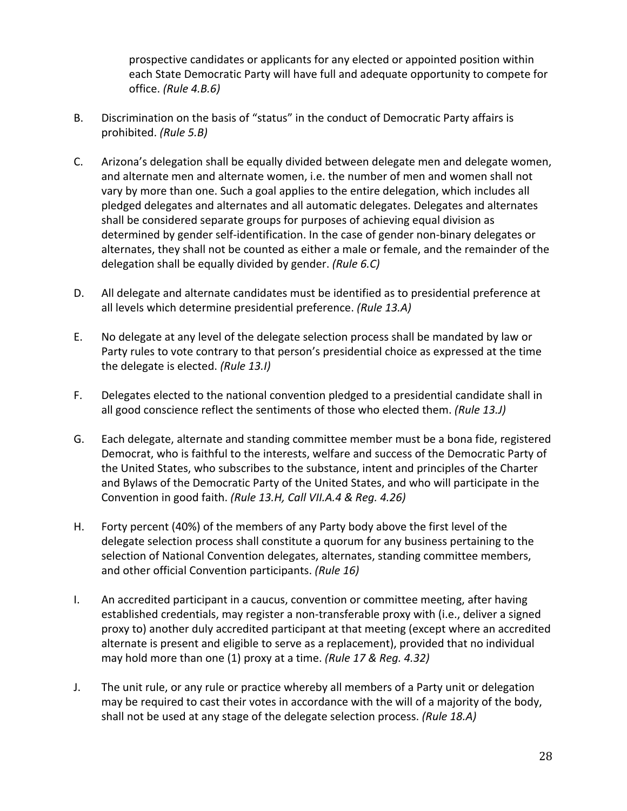prospective candidates or applicants for any elected or appointed position within each State Democratic Party will have full and adequate opportunity to compete for office. *(Rule 4.B.6)*

- B. Discrimination on the basis of "status" in the conduct of Democratic Party affairs is prohibited. *(Rule 5.B)*
- C. Arizona's delegation shall be equally divided between delegate men and delegate women, and alternate men and alternate women, i.e. the number of men and women shall not vary by more than one. Such a goal applies to the entire delegation, which includes all pledged delegates and alternates and all automatic delegates. Delegates and alternates shall be considered separate groups for purposes of achieving equal division as determined by gender self-identification. In the case of gender non-binary delegates or alternates, they shall not be counted as either a male or female, and the remainder of the delegation shall be equally divided by gender. *(Rule 6.C)*
- D. All delegate and alternate candidates must be identified as to presidential preference at all levels which determine presidential preference. *(Rule 13.A)*
- E. No delegate at any level of the delegate selection process shall be mandated by law or Party rules to vote contrary to that person's presidential choice as expressed at the time the delegate is elected. *(Rule 13.I)*
- F. Delegates elected to the national convention pledged to a presidential candidate shall in all good conscience reflect the sentiments of those who elected them. *(Rule 13.J)*
- G. Each delegate, alternate and standing committee member must be a bona fide, registered Democrat, who is faithful to the interests, welfare and success of the Democratic Party of the United States, who subscribes to the substance, intent and principles of the Charter and Bylaws of the Democratic Party of the United States, and who will participate in the Convention in good faith. *(Rule 13.H, Call VII.A.4 & Reg. 4.26)*
- H. Forty percent (40%) of the members of any Party body above the first level of the delegate selection process shall constitute a quorum for any business pertaining to the selection of National Convention delegates, alternates, standing committee members, and other official Convention participants. *(Rule 16)*
- I. An accredited participant in a caucus, convention or committee meeting, after having established credentials, may register a non-transferable proxy with (i.e., deliver a signed proxy to) another duly accredited participant at that meeting (except where an accredited alternate is present and eligible to serve as a replacement), provided that no individual may hold more than one (1) proxy at a time. *(Rule 17 & Reg. 4.32)*
- J. The unit rule, or any rule or practice whereby all members of a Party unit or delegation may be required to cast their votes in accordance with the will of a majority of the body, shall not be used at any stage of the delegate selection process. *(Rule 18.A)*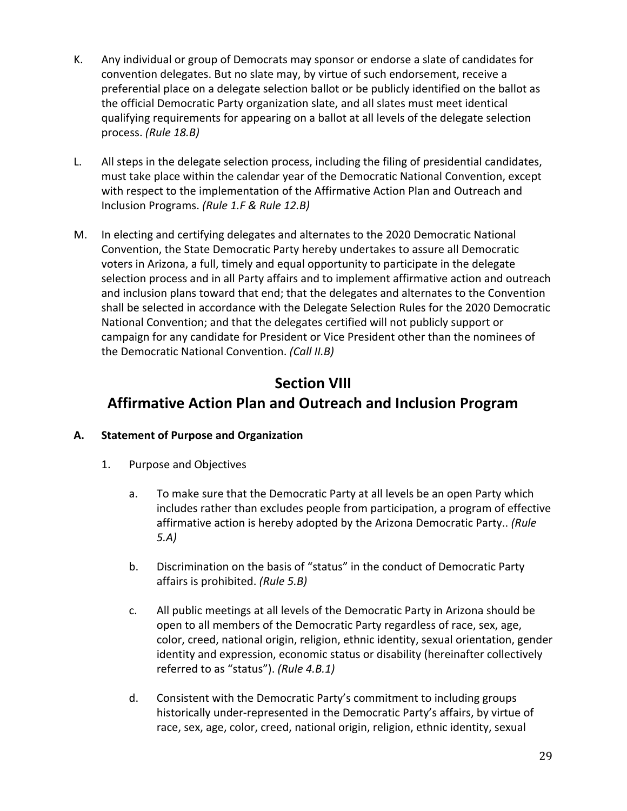- K. Any individual or group of Democrats may sponsor or endorse a slate of candidates for convention delegates. But no slate may, by virtue of such endorsement, receive a preferential place on a delegate selection ballot or be publicly identified on the ballot as the official Democratic Party organization slate, and all slates must meet identical qualifying requirements for appearing on a ballot at all levels of the delegate selection process. *(Rule 18.B)*
- L. All steps in the delegate selection process, including the filing of presidential candidates, must take place within the calendar year of the Democratic National Convention, except with respect to the implementation of the Affirmative Action Plan and Outreach and Inclusion Programs. *(Rule 1.F & Rule 12.B)*
- M. In electing and certifying delegates and alternates to the 2020 Democratic National Convention, the State Democratic Party hereby undertakes to assure all Democratic voters in Arizona, a full, timely and equal opportunity to participate in the delegate selection process and in all Party affairs and to implement affirmative action and outreach and inclusion plans toward that end; that the delegates and alternates to the Convention shall be selected in accordance with the Delegate Selection Rules for the 2020 Democratic National Convention; and that the delegates certified will not publicly support or campaign for any candidate for President or Vice President other than the nominees of the Democratic National Convention. *(Call II.B)*

## **Section VIII**

## **Affirmative Action Plan and Outreach and Inclusion Program**

## **A. Statement of Purpose and Organization**

- 1. Purpose and Objectives
	- a. To make sure that the Democratic Party at all levels be an open Party which includes rather than excludes people from participation, a program of effective affirmative action is hereby adopted by the Arizona Democratic Party.. *(Rule 5.A)*
	- b. Discrimination on the basis of "status" in the conduct of Democratic Party affairs is prohibited. *(Rule 5.B)*
	- c. All public meetings at all levels of the Democratic Party in Arizona should be open to all members of the Democratic Party regardless of race, sex, age, color, creed, national origin, religion, ethnic identity, sexual orientation, gender identity and expression, economic status or disability (hereinafter collectively referred to as "status"). *(Rule 4.B.1)*
	- d. Consistent with the Democratic Party's commitment to including groups historically under-represented in the Democratic Party's affairs, by virtue of race, sex, age, color, creed, national origin, religion, ethnic identity, sexual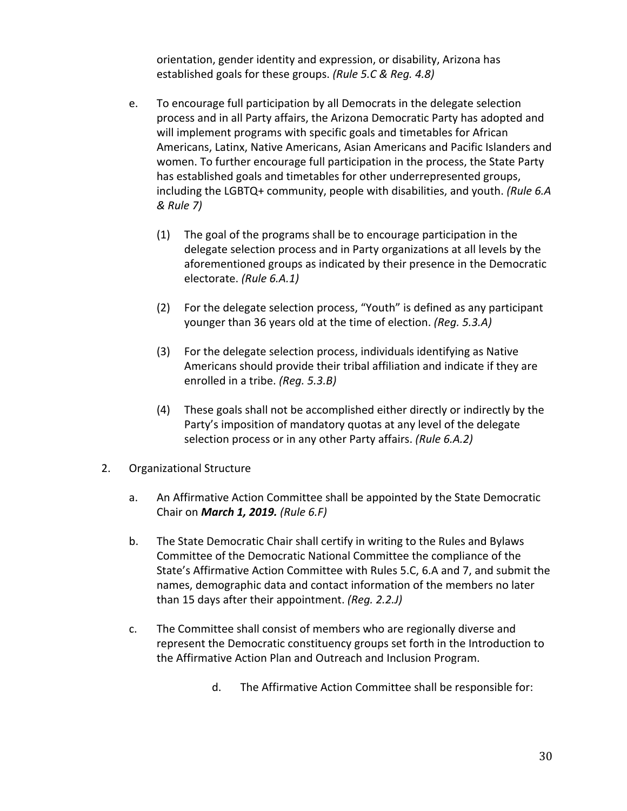orientation, gender identity and expression, or disability, Arizona has established goals for these groups. *(Rule 5.C & Reg. 4.8)*

- e. To encourage full participation by all Democrats in the delegate selection process and in all Party affairs, the Arizona Democratic Party has adopted and will implement programs with specific goals and timetables for African Americans, Latinx, Native Americans, Asian Americans and Pacific Islanders and women. To further encourage full participation in the process, the State Party has established goals and timetables for other underrepresented groups, including the LGBTQ+ community, people with disabilities, and youth. *(Rule 6.A & Rule 7)*
	- (1) The goal of the programs shall be to encourage participation in the delegate selection process and in Party organizations at all levels by the aforementioned groups as indicated by their presence in the Democratic electorate. *(Rule 6.A.1)*
	- (2) For the delegate selection process, "Youth" is defined as any participant younger than 36 years old at the time of election. *(Reg. 5.3.A)*
	- (3) For the delegate selection process, individuals identifying as Native Americans should provide their tribal affiliation and indicate if they are enrolled in a tribe. *(Reg. 5.3.B)*
	- (4) These goals shall not be accomplished either directly or indirectly by the Party's imposition of mandatory quotas at any level of the delegate selection process or in any other Party affairs. *(Rule 6.A.2)*
- 2. Organizational Structure
	- a. An Affirmative Action Committee shall be appointed by the State Democratic Chair on *March 1, 2019. (Rule 6.F)*
	- b. The State Democratic Chair shall certify in writing to the Rules and Bylaws Committee of the Democratic National Committee the compliance of the State's Affirmative Action Committee with Rules 5.C, 6.A and 7, and submit the names, demographic data and contact information of the members no later than 15 days after their appointment. *(Reg. 2.2.J)*
	- c. The Committee shall consist of members who are regionally diverse and represent the Democratic constituency groups set forth in the Introduction to the Affirmative Action Plan and Outreach and Inclusion Program.
		- d. The Affirmative Action Committee shall be responsible for: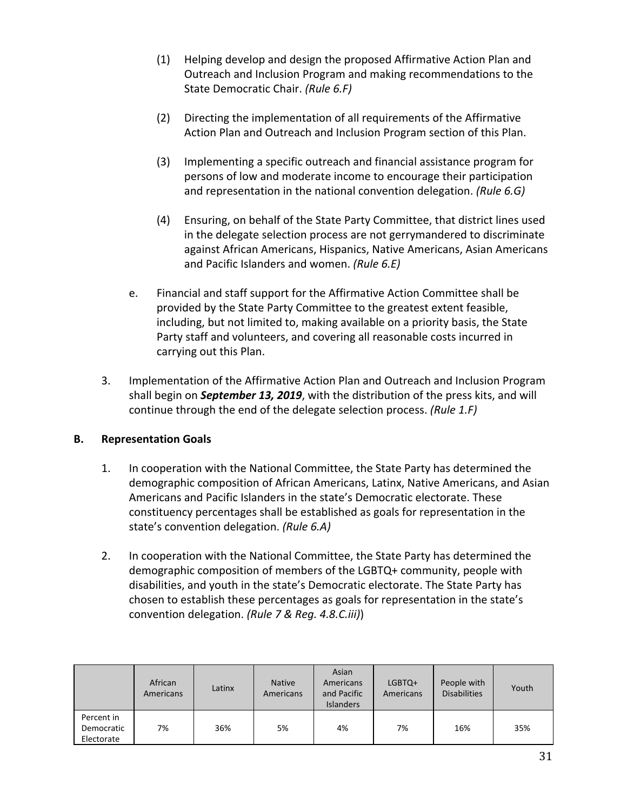- (1) Helping develop and design the proposed Affirmative Action Plan and Outreach and Inclusion Program and making recommendations to the State Democratic Chair. *(Rule 6.F)*
- (2) Directing the implementation of all requirements of the Affirmative Action Plan and Outreach and Inclusion Program section of this Plan.
- (3) Implementing a specific outreach and financial assistance program for persons of low and moderate income to encourage their participation and representation in the national convention delegation. *(Rule 6.G)*
- (4) Ensuring, on behalf of the State Party Committee, that district lines used in the delegate selection process are not gerrymandered to discriminate against African Americans, Hispanics, Native Americans, Asian Americans and Pacific Islanders and women. *(Rule 6.E)*
- e. Financial and staff support for the Affirmative Action Committee shall be provided by the State Party Committee to the greatest extent feasible, including, but not limited to, making available on a priority basis, the State Party staff and volunteers, and covering all reasonable costs incurred in carrying out this Plan.
- 3. Implementation of the Affirmative Action Plan and Outreach and Inclusion Program shall begin on *September 13, 2019*, with the distribution of the press kits, and will continue through the end of the delegate selection process. *(Rule 1.F)*

## **B. Representation Goals**

- 1. In cooperation with the National Committee, the State Party has determined the demographic composition of African Americans, Latinx, Native Americans, and Asian Americans and Pacific Islanders in the state's Democratic electorate. These constituency percentages shall be established as goals for representation in the state's convention delegation. *(Rule 6.A)*
- 2. In cooperation with the National Committee, the State Party has determined the demographic composition of members of the LGBTQ+ community, people with disabilities, and youth in the state's Democratic electorate. The State Party has chosen to establish these percentages as goals for representation in the state's convention delegation. *(Rule 7 & Reg. 4.8.C.iii)*)

|                                        | African<br>Americans | Latinx | <b>Native</b><br>Americans | Asian<br>Americans<br>and Pacific<br><b>Islanders</b> | LGBTQ+<br>Americans | People with<br><b>Disabilities</b> | Youth |
|----------------------------------------|----------------------|--------|----------------------------|-------------------------------------------------------|---------------------|------------------------------------|-------|
| Percent in<br>Democratic<br>Electorate | 7%                   | 36%    | 5%                         | 4%                                                    | 7%                  | 16%                                | 35%   |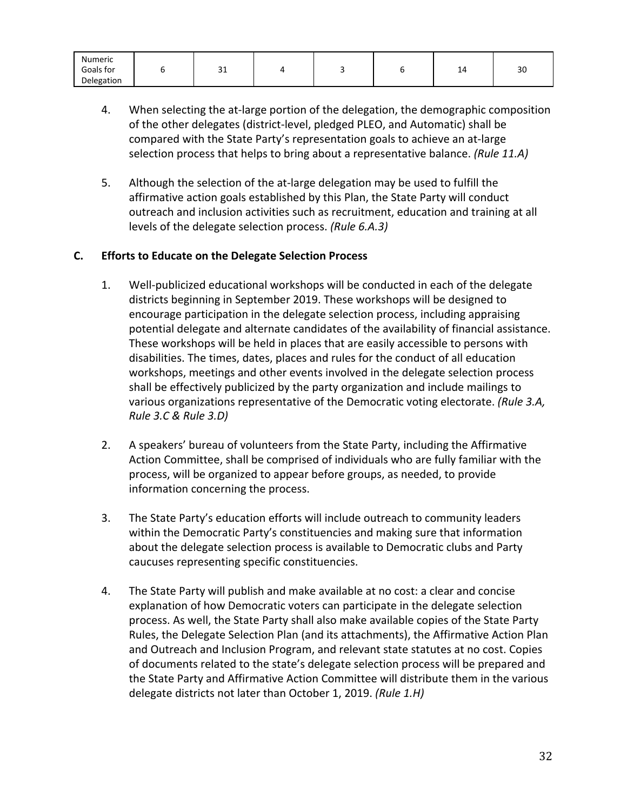| Numeric    |    |  |   |    |
|------------|----|--|---|----|
| Goals for  | ᇰᆂ |  | - | 30 |
| Delegation |    |  |   |    |

- 4. When selecting the at-large portion of the delegation, the demographic composition of the other delegates (district-level, pledged PLEO, and Automatic) shall be compared with the State Party's representation goals to achieve an at-large selection process that helps to bring about a representative balance. *(Rule 11.A)*
- 5. Although the selection of the at-large delegation may be used to fulfill the affirmative action goals established by this Plan, the State Party will conduct outreach and inclusion activities such as recruitment, education and training at all levels of the delegate selection process. *(Rule 6.A.3)*

## **C. Efforts to Educate on the Delegate Selection Process**

- 1. Well-publicized educational workshops will be conducted in each of the delegate districts beginning in September 2019. These workshops will be designed to encourage participation in the delegate selection process, including appraising potential delegate and alternate candidates of the availability of financial assistance. These workshops will be held in places that are easily accessible to persons with disabilities. The times, dates, places and rules for the conduct of all education workshops, meetings and other events involved in the delegate selection process shall be effectively publicized by the party organization and include mailings to various organizations representative of the Democratic voting electorate. *(Rule 3.A, Rule 3.C & Rule 3.D)*
- 2. A speakers' bureau of volunteers from the State Party, including the Affirmative Action Committee, shall be comprised of individuals who are fully familiar with the process, will be organized to appear before groups, as needed, to provide information concerning the process.
- 3. The State Party's education efforts will include outreach to community leaders within the Democratic Party's constituencies and making sure that information about the delegate selection process is available to Democratic clubs and Party caucuses representing specific constituencies.
- 4. The State Party will publish and make available at no cost: a clear and concise explanation of how Democratic voters can participate in the delegate selection process. As well, the State Party shall also make available copies of the State Party Rules, the Delegate Selection Plan (and its attachments), the Affirmative Action Plan and Outreach and Inclusion Program, and relevant state statutes at no cost. Copies of documents related to the state's delegate selection process will be prepared and the State Party and Affirmative Action Committee will distribute them in the various delegate districts not later than October 1, 2019. *(Rule 1.H)*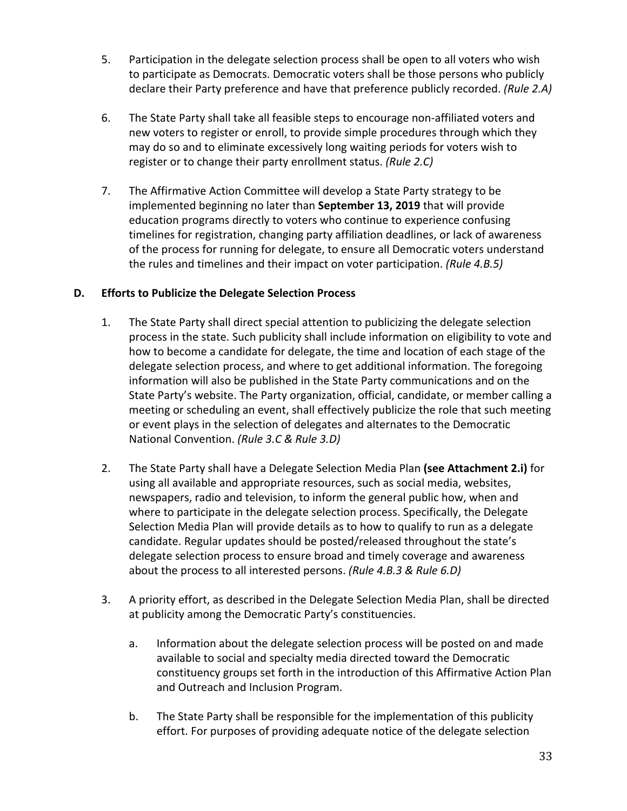- 5. Participation in the delegate selection process shall be open to all voters who wish to participate as Democrats. Democratic voters shall be those persons who publicly declare their Party preference and have that preference publicly recorded. *(Rule 2.A)*
- 6. The State Party shall take all feasible steps to encourage non-affiliated voters and new voters to register or enroll, to provide simple procedures through which they may do so and to eliminate excessively long waiting periods for voters wish to register or to change their party enrollment status. *(Rule 2.C)*
- 7. The Affirmative Action Committee will develop a State Party strategy to be implemented beginning no later than **September 13, 2019** that will provide education programs directly to voters who continue to experience confusing timelines for registration, changing party affiliation deadlines, or lack of awareness of the process for running for delegate, to ensure all Democratic voters understand the rules and timelines and their impact on voter participation. *(Rule 4.B.5)*

## **D. Efforts to Publicize the Delegate Selection Process**

- 1. The State Party shall direct special attention to publicizing the delegate selection process in the state. Such publicity shall include information on eligibility to vote and how to become a candidate for delegate, the time and location of each stage of the delegate selection process, and where to get additional information. The foregoing information will also be published in the State Party communications and on the State Party's website. The Party organization, official, candidate, or member calling a meeting or scheduling an event, shall effectively publicize the role that such meeting or event plays in the selection of delegates and alternates to the Democratic National Convention. *(Rule 3.C & Rule 3.D)*
- 2. The State Party shall have a Delegate Selection Media Plan **(see Attachment 2.i)** for using all available and appropriate resources, such as social media, websites, newspapers, radio and television, to inform the general public how, when and where to participate in the delegate selection process. Specifically, the Delegate Selection Media Plan will provide details as to how to qualify to run as a delegate candidate. Regular updates should be posted/released throughout the state's delegate selection process to ensure broad and timely coverage and awareness about the process to all interested persons. *(Rule 4.B.3 & Rule 6.D)*
- 3. A priority effort, as described in the Delegate Selection Media Plan, shall be directed at publicity among the Democratic Party's constituencies.
	- a. Information about the delegate selection process will be posted on and made available to social and specialty media directed toward the Democratic constituency groups set forth in the introduction of this Affirmative Action Plan and Outreach and Inclusion Program.
	- b. The State Party shall be responsible for the implementation of this publicity effort. For purposes of providing adequate notice of the delegate selection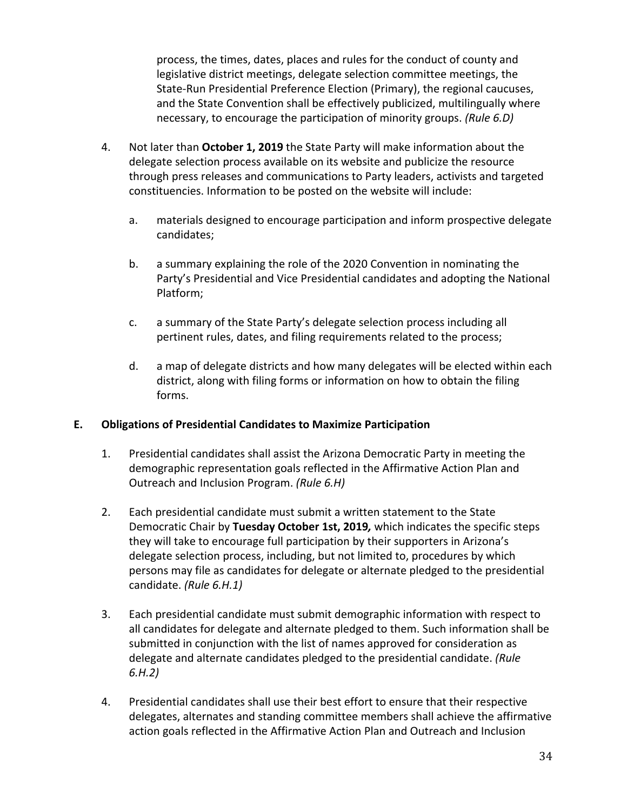process, the times, dates, places and rules for the conduct of county and legislative district meetings, delegate selection committee meetings, the State-Run Presidential Preference Election (Primary), the regional caucuses, and the State Convention shall be effectively publicized, multilingually where necessary, to encourage the participation of minority groups. *(Rule 6.D)*

- 4. Not later than **October 1, 2019** the State Party will make information about the delegate selection process available on its website and publicize the resource through press releases and communications to Party leaders, activists and targeted constituencies. Information to be posted on the website will include:
	- a. materials designed to encourage participation and inform prospective delegate candidates;
	- b. a summary explaining the role of the 2020 Convention in nominating the Party's Presidential and Vice Presidential candidates and adopting the National Platform;
	- c. a summary of the State Party's delegate selection process including all pertinent rules, dates, and filing requirements related to the process;
	- d. a map of delegate districts and how many delegates will be elected within each district, along with filing forms or information on how to obtain the filing forms.

## **E. Obligations of Presidential Candidates to Maximize Participation**

- 1. Presidential candidates shall assist the Arizona Democratic Party in meeting the demographic representation goals reflected in the Affirmative Action Plan and Outreach and Inclusion Program. *(Rule 6.H)*
- 2. Each presidential candidate must submit a written statement to the State Democratic Chair by **Tuesday October 1st, 2019***,* which indicates the specific steps they will take to encourage full participation by their supporters in Arizona's delegate selection process, including, but not limited to, procedures by which persons may file as candidates for delegate or alternate pledged to the presidential candidate. *(Rule 6.H.1)*
- 3. Each presidential candidate must submit demographic information with respect to all candidates for delegate and alternate pledged to them. Such information shall be submitted in conjunction with the list of names approved for consideration as delegate and alternate candidates pledged to the presidential candidate. *(Rule 6.H.2)*
- 4. Presidential candidates shall use their best effort to ensure that their respective delegates, alternates and standing committee members shall achieve the affirmative action goals reflected in the Affirmative Action Plan and Outreach and Inclusion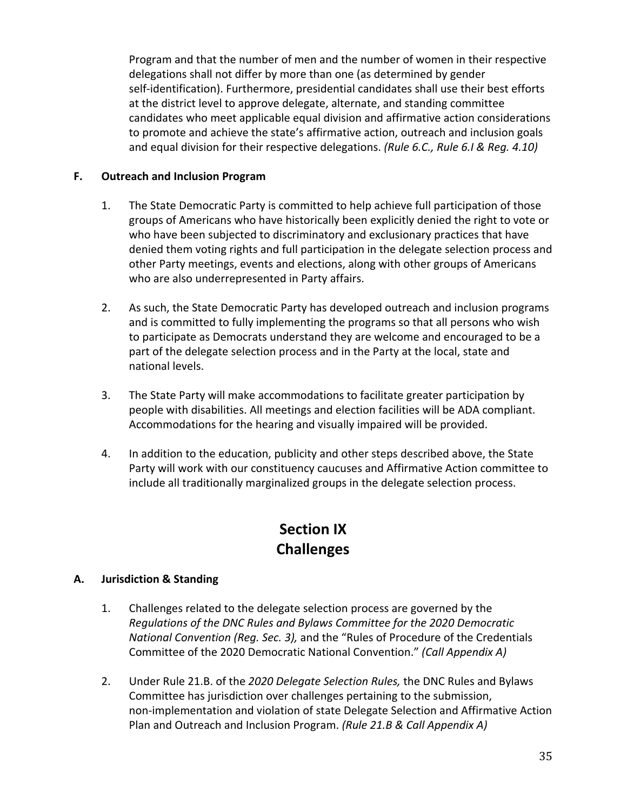Program and that the number of men and the number of women in their respective delegations shall not differ by more than one (as determined by gender self-identification). Furthermore, presidential candidates shall use their best efforts at the district level to approve delegate, alternate, and standing committee candidates who meet applicable equal division and affirmative action considerations to promote and achieve the state's affirmative action, outreach and inclusion goals and equal division for their respective delegations. *(Rule 6.C., Rule 6.I & Reg. 4.10)*

#### **F. Outreach and Inclusion Program**

- 1. The State Democratic Party is committed to help achieve full participation of those groups of Americans who have historically been explicitly denied the right to vote or who have been subjected to discriminatory and exclusionary practices that have denied them voting rights and full participation in the delegate selection process and other Party meetings, events and elections, along with other groups of Americans who are also underrepresented in Party affairs.
- 2. As such, the State Democratic Party has developed outreach and inclusion programs and is committed to fully implementing the programs so that all persons who wish to participate as Democrats understand they are welcome and encouraged to be a part of the delegate selection process and in the Party at the local, state and national levels.
- 3. The State Party will make accommodations to facilitate greater participation by people with disabilities. All meetings and election facilities will be ADA compliant. Accommodations for the hearing and visually impaired will be provided.
- 4. In addition to the education, publicity and other steps described above, the State Party will work with our constituency caucuses and Affirmative Action committee to include all traditionally marginalized groups in the delegate selection process.

## **Section IX Challenges**

## **A. Jurisdiction & Standing**

- 1. Challenges related to the delegate selection process are governed by the *Regulations of the DNC Rules and Bylaws Committee for the 2020 Democratic National Convention (Reg. Sec. 3),* and the "Rules of Procedure of the Credentials Committee of the 2020 Democratic National Convention." *(Call Appendix A)*
- 2. Under Rule 21.B. of the *2020 Delegate Selection Rules,* the DNC Rules and Bylaws Committee has jurisdiction over challenges pertaining to the submission, non-implementation and violation of state Delegate Selection and Affirmative Action Plan and Outreach and Inclusion Program. *(Rule 21.B & Call Appendix A)*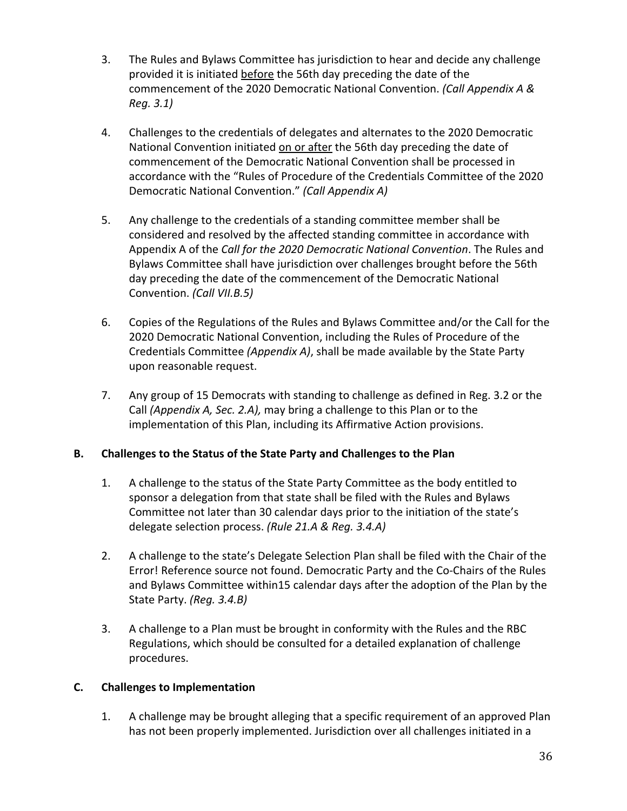- 3. The Rules and Bylaws Committee has jurisdiction to hear and decide any challenge provided it is initiated before the 56th day preceding the date of the commencement of the 2020 Democratic National Convention. *(Call Appendix A & Reg. 3.1)*
- 4. Challenges to the credentials of delegates and alternates to the 2020 Democratic National Convention initiated on or after the 56th day preceding the date of commencement of the Democratic National Convention shall be processed in accordance with the "Rules of Procedure of the Credentials Committee of the 2020 Democratic National Convention." *(Call Appendix A)*
- 5. Any challenge to the credentials of a standing committee member shall be considered and resolved by the affected standing committee in accordance with Appendix A of the *Call for the 2020 Democratic National Convention*. The Rules and Bylaws Committee shall have jurisdiction over challenges brought before the 56th day preceding the date of the commencement of the Democratic National Convention. *(Call VII.B.5)*
- 6. Copies of the Regulations of the Rules and Bylaws Committee and/or the Call for the 2020 Democratic National Convention, including the Rules of Procedure of the Credentials Committee *(Appendix A)*, shall be made available by the State Party upon reasonable request.
- 7. Any group of 15 Democrats with standing to challenge as defined in Reg. 3.2 or the Call *(Appendix A, Sec. 2.A),* may bring a challenge to this Plan or to the implementation of this Plan, including its Affirmative Action provisions.

## **B. Challenges to the Status of the State Party and Challenges to the Plan**

- 1. A challenge to the status of the State Party Committee as the body entitled to sponsor a delegation from that state shall be filed with the Rules and Bylaws Committee not later than 30 calendar days prior to the initiation of the state's delegate selection process. *(Rule 21.A & Reg. 3.4.A)*
- 2. A challenge to the state's Delegate Selection Plan shall be filed with the Chair of the Error! Reference source not found. Democratic Party and the Co-Chairs of the Rules and Bylaws Committee within15 calendar days after the adoption of the Plan by the State Party. *(Reg. 3.4.B)*
- 3. A challenge to a Plan must be brought in conformity with the Rules and the RBC Regulations, which should be consulted for a detailed explanation of challenge procedures.

## **C. Challenges to Implementation**

1. A challenge may be brought alleging that a specific requirement of an approved Plan has not been properly implemented. Jurisdiction over all challenges initiated in a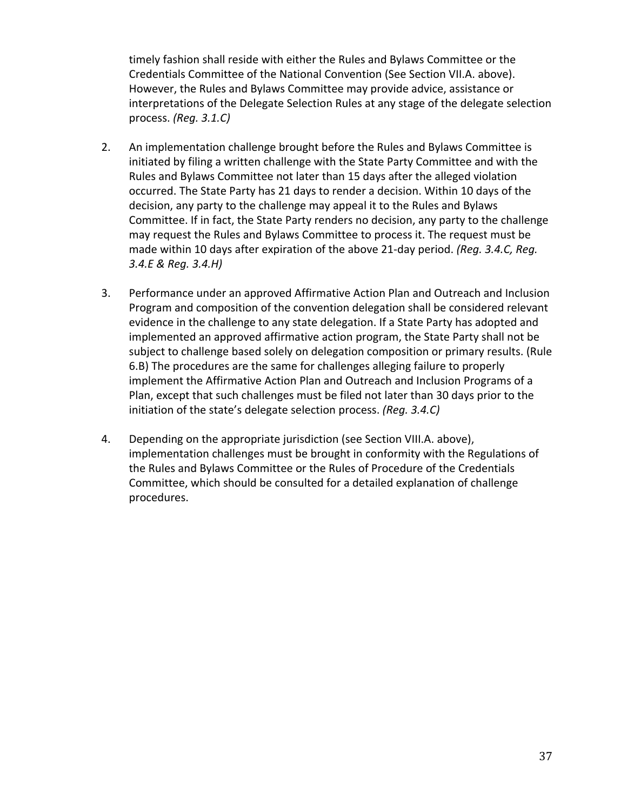timely fashion shall reside with either the Rules and Bylaws Committee or the Credentials Committee of the National Convention (See Section VII.A. above). However, the Rules and Bylaws Committee may provide advice, assistance or interpretations of the Delegate Selection Rules at any stage of the delegate selection process. *(Reg. 3.1.C)*

- 2. An implementation challenge brought before the Rules and Bylaws Committee is initiated by filing a written challenge with the State Party Committee and with the Rules and Bylaws Committee not later than 15 days after the alleged violation occurred. The State Party has 21 days to render a decision. Within 10 days of the decision, any party to the challenge may appeal it to the Rules and Bylaws Committee. If in fact, the State Party renders no decision, any party to the challenge may request the Rules and Bylaws Committee to process it. The request must be made within 10 days after expiration of the above 21-day period. *(Reg. 3.4.C, Reg. 3.4.E & Reg. 3.4.H)*
- 3. Performance under an approved Affirmative Action Plan and Outreach and Inclusion Program and composition of the convention delegation shall be considered relevant evidence in the challenge to any state delegation. If a State Party has adopted and implemented an approved affirmative action program, the State Party shall not be subject to challenge based solely on delegation composition or primary results. (Rule 6.B) The procedures are the same for challenges alleging failure to properly implement the Affirmative Action Plan and Outreach and Inclusion Programs of a Plan, except that such challenges must be filed not later than 30 days prior to the initiation of the state's delegate selection process. *(Reg. 3.4.C)*
- 4. Depending on the appropriate jurisdiction (see Section VIII.A. above), implementation challenges must be brought in conformity with the Regulations of the Rules and Bylaws Committee or the Rules of Procedure of the Credentials Committee, which should be consulted for a detailed explanation of challenge procedures.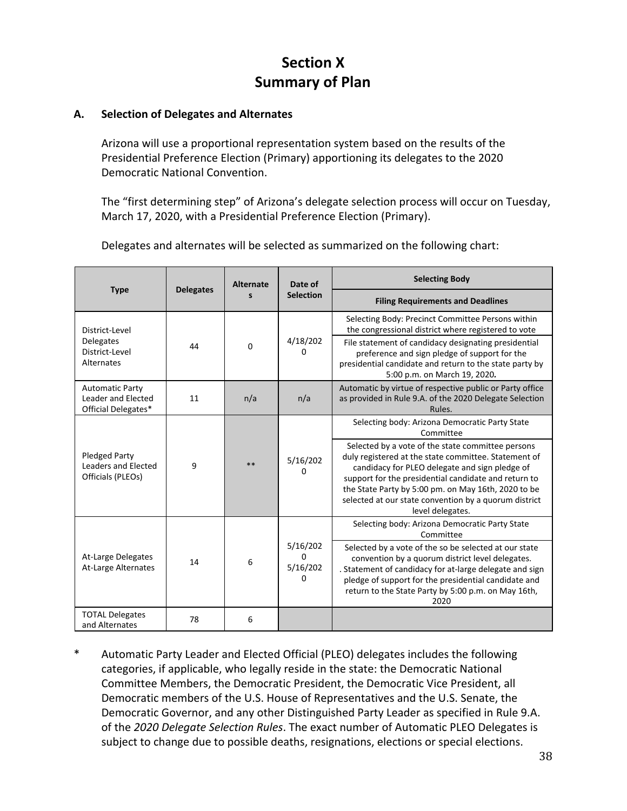## **Section X Summary of Plan**

## **A. Selection of Delegates and Alternates**

Arizona will use a proportional representation system based on the results of the Presidential Preference Election (Primary) apportioning its delegates to the 2020 Democratic National Convention.

The "first determining step" of Arizona's delegate selection process will occur on Tuesday, March 17, 2020, with a Presidential Preference Election (Primary).

Delegates and alternates will be selected as summarized on the following chart:

|                                                                     |                  | <b>Alternate</b><br>s | Date of                                      | <b>Selecting Body</b>                                                                                                                                                                                                                                                                                                                                   |
|---------------------------------------------------------------------|------------------|-----------------------|----------------------------------------------|---------------------------------------------------------------------------------------------------------------------------------------------------------------------------------------------------------------------------------------------------------------------------------------------------------------------------------------------------------|
| <b>Type</b>                                                         | <b>Delegates</b> |                       | <b>Selection</b>                             | <b>Filing Requirements and Deadlines</b>                                                                                                                                                                                                                                                                                                                |
| District-Level                                                      |                  |                       |                                              | Selecting Body: Precinct Committee Persons within<br>the congressional district where registered to vote                                                                                                                                                                                                                                                |
| <b>Delegates</b><br>District-Level<br>Alternates                    | 44               | $\Omega$              | 4/18/202<br>0                                | File statement of candidacy designating presidential<br>preference and sign pledge of support for the<br>presidential candidate and return to the state party by<br>5:00 p.m. on March 19, 2020.                                                                                                                                                        |
| <b>Automatic Party</b><br>Leader and Elected<br>Official Delegates* | 11               | n/a                   | n/a                                          | Automatic by virtue of respective public or Party office<br>as provided in Rule 9.A. of the 2020 Delegate Selection<br>Rules.                                                                                                                                                                                                                           |
|                                                                     |                  |                       |                                              | Selecting body: Arizona Democratic Party State<br>Committee                                                                                                                                                                                                                                                                                             |
| Pledged Party<br>Leaders and Elected<br>Officials (PLEOs)           | 9                | **                    | 5/16/202<br>0                                | Selected by a vote of the state committee persons<br>duly registered at the state committee. Statement of<br>candidacy for PLEO delegate and sign pledge of<br>support for the presidential candidate and return to<br>the State Party by 5:00 pm. on May 16th, 2020 to be<br>selected at our state convention by a quorum district<br>level delegates. |
|                                                                     |                  |                       |                                              | Selecting body: Arizona Democratic Party State<br>Committee                                                                                                                                                                                                                                                                                             |
| At-Large Delegates<br>At-Large Alternates                           | 14               | 6                     | 5/16/202<br>$\Omega$<br>5/16/202<br>$\Omega$ | Selected by a vote of the so be selected at our state<br>convention by a quorum district level delegates.<br>. Statement of candidacy for at-large delegate and sign<br>pledge of support for the presidential candidate and<br>return to the State Party by 5:00 p.m. on May 16th,<br>2020                                                             |
| <b>TOTAL Delegates</b><br>and Alternates                            | 78               | 6                     |                                              |                                                                                                                                                                                                                                                                                                                                                         |

Automatic Party Leader and Elected Official (PLEO) delegates includes the following categories, if applicable, who legally reside in the state: the Democratic National Committee Members, the Democratic President, the Democratic Vice President, all Democratic members of the U.S. House of Representatives and the U.S. Senate, the Democratic Governor, and any other Distinguished Party Leader as specified in Rule 9.A. of the *2020 Delegate Selection Rules*. The exact number of Automatic PLEO Delegates is subject to change due to possible deaths, resignations, elections or special elections.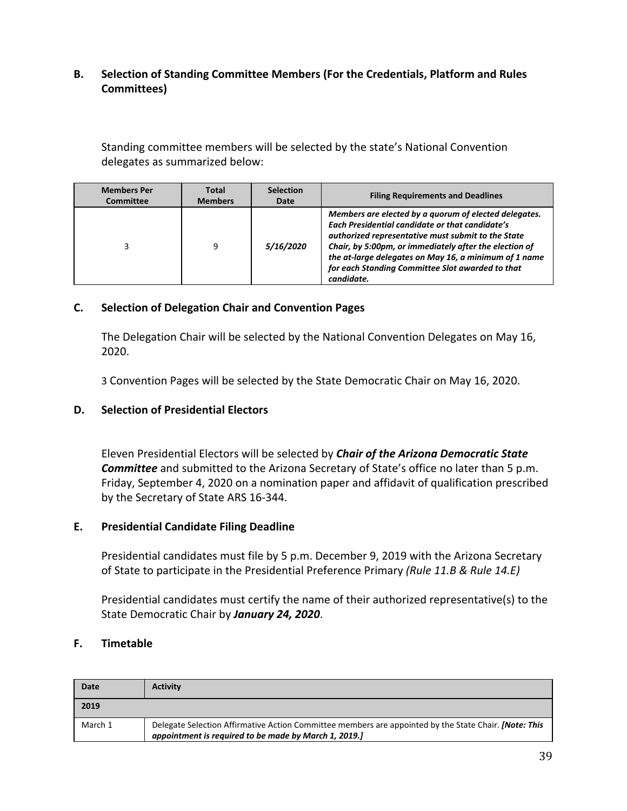## **B. Selection of Standing Committee Members (For the Credentials, Platform and Rules Committees)**

Standing committee members will be selected by the state's National Convention delegates as summarized below:

| <b>Members Per</b> | <b>Total</b>   | <b>Selection</b>        | <b>Filing Requirements and Deadlines</b>                                                                                                                                                                                                                                                                                                                   |
|--------------------|----------------|-------------------------|------------------------------------------------------------------------------------------------------------------------------------------------------------------------------------------------------------------------------------------------------------------------------------------------------------------------------------------------------------|
| <b>Committee</b>   | <b>Members</b> | Date                    |                                                                                                                                                                                                                                                                                                                                                            |
|                    | 9              | <i><b>5/16/2020</b></i> | Members are elected by a quorum of elected delegates.<br><b>Each Presidential candidate or that candidate's</b><br>authorized representative must submit to the State<br>Chair, by 5:00pm, or immediately after the election of<br>the at-large delegates on May 16, a minimum of 1 name<br>for each Standing Committee Slot awarded to that<br>candidate. |

#### **C. Selection of Delegation Chair and Convention Pages**

The Delegation Chair will be selected by the National Convention Delegates on May 16, 2020.

3 Convention Pages will be selected by the State Democratic Chair on May 16, 2020.

#### **D. Selection of Presidential Electors**

Eleven Presidential Electors will be selected by *Chair of the Arizona Democratic State Committee* and submitted to the Arizona Secretary of State's office no later than 5 p.m. Friday, September 4, 2020 on a nomination paper and affidavit of qualification prescribed by the Secretary of State ARS 16-344.

#### **E. Presidential Candidate Filing Deadline**

Presidential candidates must file by 5 p.m. December 9, 2019 with the Arizona Secretary of State to participate in the Presidential Preference Primary *(Rule 11.B & Rule 14.E)*

Presidential candidates must certify the name of their authorized representative(s) to the State Democratic Chair by *January 24, 2020*.

#### **F. Timetable**

| Date    | <b>Activity</b>                                                                                                                                                       |
|---------|-----------------------------------------------------------------------------------------------------------------------------------------------------------------------|
| 2019    |                                                                                                                                                                       |
| March 1 | Delegate Selection Affirmative Action Committee members are appointed by the State Chair. <i>[Note: This</i><br>appointment is required to be made by March 1, 2019.] |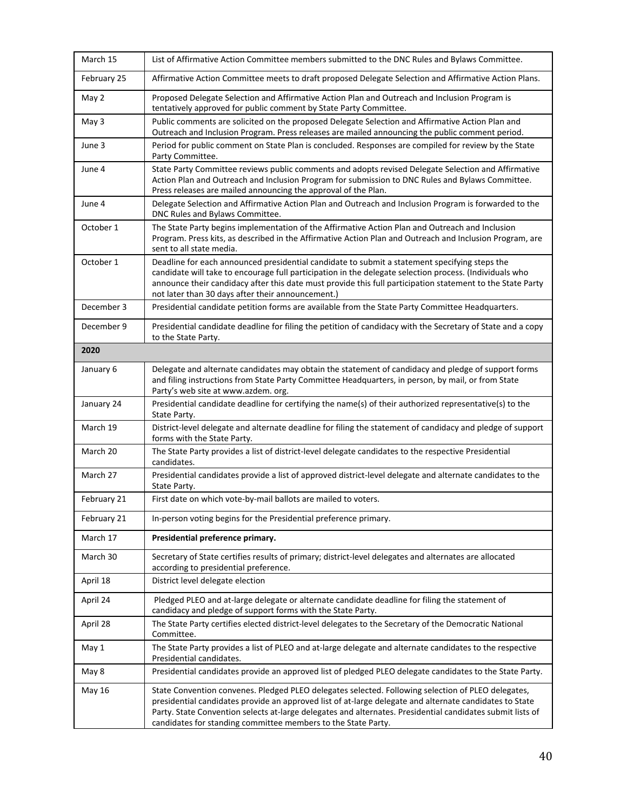| March 15    | List of Affirmative Action Committee members submitted to the DNC Rules and Bylaws Committee.                                                                                                                                                                                                                                                                                                |
|-------------|----------------------------------------------------------------------------------------------------------------------------------------------------------------------------------------------------------------------------------------------------------------------------------------------------------------------------------------------------------------------------------------------|
| February 25 | Affirmative Action Committee meets to draft proposed Delegate Selection and Affirmative Action Plans.                                                                                                                                                                                                                                                                                        |
| May 2       | Proposed Delegate Selection and Affirmative Action Plan and Outreach and Inclusion Program is<br>tentatively approved for public comment by State Party Committee.                                                                                                                                                                                                                           |
| May 3       | Public comments are solicited on the proposed Delegate Selection and Affirmative Action Plan and<br>Outreach and Inclusion Program. Press releases are mailed announcing the public comment period.                                                                                                                                                                                          |
| June 3      | Period for public comment on State Plan is concluded. Responses are compiled for review by the State<br>Party Committee.                                                                                                                                                                                                                                                                     |
| June 4      | State Party Committee reviews public comments and adopts revised Delegate Selection and Affirmative<br>Action Plan and Outreach and Inclusion Program for submission to DNC Rules and Bylaws Committee.<br>Press releases are mailed announcing the approval of the Plan.                                                                                                                    |
| June 4      | Delegate Selection and Affirmative Action Plan and Outreach and Inclusion Program is forwarded to the<br>DNC Rules and Bylaws Committee.                                                                                                                                                                                                                                                     |
| October 1   | The State Party begins implementation of the Affirmative Action Plan and Outreach and Inclusion<br>Program. Press kits, as described in the Affirmative Action Plan and Outreach and Inclusion Program, are<br>sent to all state media.                                                                                                                                                      |
| October 1   | Deadline for each announced presidential candidate to submit a statement specifying steps the<br>candidate will take to encourage full participation in the delegate selection process. (Individuals who<br>announce their candidacy after this date must provide this full participation statement to the State Party<br>not later than 30 days after their announcement.)                  |
| December 3  | Presidential candidate petition forms are available from the State Party Committee Headquarters.                                                                                                                                                                                                                                                                                             |
| December 9  | Presidential candidate deadline for filing the petition of candidacy with the Secretary of State and a copy<br>to the State Party.                                                                                                                                                                                                                                                           |
| 2020        |                                                                                                                                                                                                                                                                                                                                                                                              |
| January 6   | Delegate and alternate candidates may obtain the statement of candidacy and pledge of support forms<br>and filing instructions from State Party Committee Headquarters, in person, by mail, or from State<br>Party's web site at www.azdem. org.                                                                                                                                             |
| January 24  | Presidential candidate deadline for certifying the name(s) of their authorized representative(s) to the<br>State Party.                                                                                                                                                                                                                                                                      |
| March 19    | District-level delegate and alternate deadline for filing the statement of candidacy and pledge of support<br>forms with the State Party.                                                                                                                                                                                                                                                    |
| March 20    | The State Party provides a list of district-level delegate candidates to the respective Presidential<br>candidates.                                                                                                                                                                                                                                                                          |
| March 27    | Presidential candidates provide a list of approved district-level delegate and alternate candidates to the<br>State Party.                                                                                                                                                                                                                                                                   |
| February 21 | First date on which vote-by-mail ballots are mailed to voters.                                                                                                                                                                                                                                                                                                                               |
| February 21 | In-person voting begins for the Presidential preference primary.                                                                                                                                                                                                                                                                                                                             |
| March 17    | Presidential preference primary.                                                                                                                                                                                                                                                                                                                                                             |
| March 30    | Secretary of State certifies results of primary; district-level delegates and alternates are allocated<br>according to presidential preference.                                                                                                                                                                                                                                              |
| April 18    | District level delegate election                                                                                                                                                                                                                                                                                                                                                             |
| April 24    | Pledged PLEO and at-large delegate or alternate candidate deadline for filing the statement of<br>candidacy and pledge of support forms with the State Party.                                                                                                                                                                                                                                |
| April 28    | The State Party certifies elected district-level delegates to the Secretary of the Democratic National<br>Committee.                                                                                                                                                                                                                                                                         |
| May 1       | The State Party provides a list of PLEO and at-large delegate and alternate candidates to the respective<br>Presidential candidates.                                                                                                                                                                                                                                                         |
| May 8       | Presidential candidates provide an approved list of pledged PLEO delegate candidates to the State Party.                                                                                                                                                                                                                                                                                     |
| May 16      | State Convention convenes. Pledged PLEO delegates selected. Following selection of PLEO delegates,<br>presidential candidates provide an approved list of at-large delegate and alternate candidates to State<br>Party. State Convention selects at-large delegates and alternates. Presidential candidates submit lists of<br>candidates for standing committee members to the State Party. |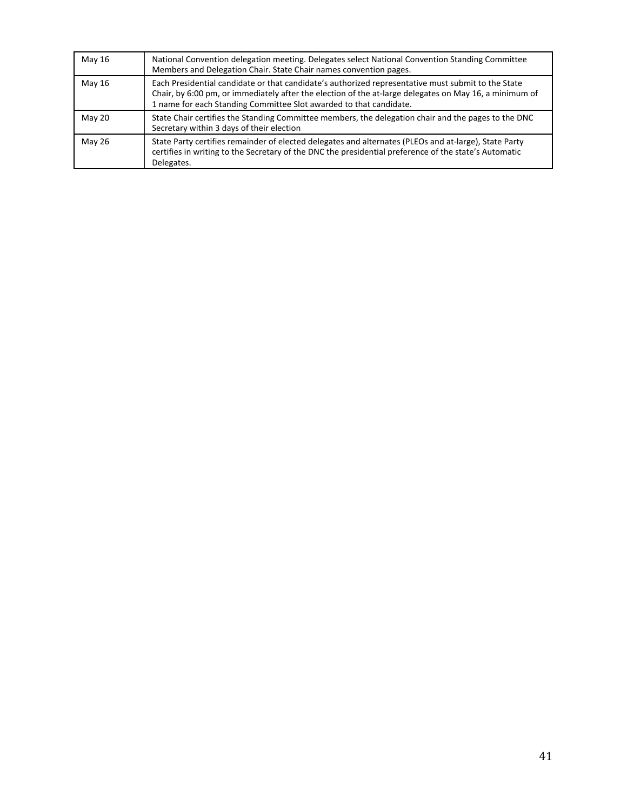| May 16        | National Convention delegation meeting. Delegates select National Convention Standing Committee<br>Members and Delegation Chair. State Chair names convention pages.                                                                                                               |
|---------------|------------------------------------------------------------------------------------------------------------------------------------------------------------------------------------------------------------------------------------------------------------------------------------|
| May 16        | Each Presidential candidate or that candidate's authorized representative must submit to the State<br>Chair, by 6:00 pm, or immediately after the election of the at-large delegates on May 16, a minimum of<br>1 name for each Standing Committee Slot awarded to that candidate. |
| May 20        | State Chair certifies the Standing Committee members, the delegation chair and the pages to the DNC<br>Secretary within 3 days of their election                                                                                                                                   |
| <b>May 26</b> | State Party certifies remainder of elected delegates and alternates (PLEOs and at-large), State Party<br>certifies in writing to the Secretary of the DNC the presidential preference of the state's Automatic<br>Delegates.                                                       |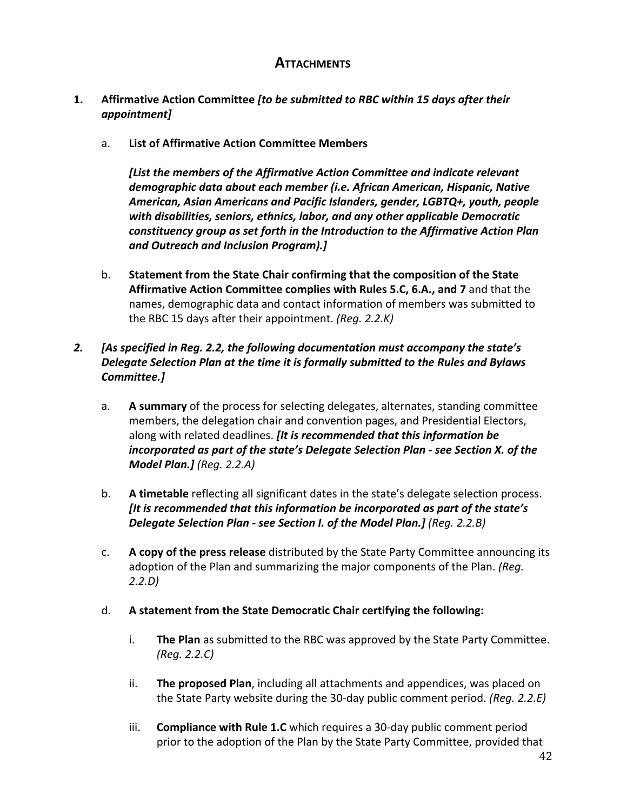## **ATTACHMENTS**

## **1. Affirmative Action Committee** *[to be submitted to RBC within 15 days after their appointment]*

a. **List of Affirmative Action Committee Members**

*[List the members of the Affirmative Action Committee and indicate relevant demographic data about each member (i.e. African American, Hispanic, Native American, Asian Americans and Pacific Islanders, gender, LGBTQ+, youth, people with disabilities, seniors, ethnics, labor, and any other applicable Democratic constituency group as set forth in the Introduction to the Affirmative Action Plan and Outreach and Inclusion Program).]*

b. **Statement from the State Chair confirming that the composition of the State Affirmative Action Committee complies with Rules 5.C, 6.A., and 7** and that the names, demographic data and contact information of members was submitted to the RBC 15 days after their appointment. *(Reg. 2.2.K)*

## *2. [As specified in Reg. 2.2, the following documentation must accompany the state's Delegate Selection Plan at the time it is formally submitted to the Rules and Bylaws Committee.]*

- a. **A summary** of the process for selecting delegates, alternates, standing committee members, the delegation chair and convention pages, and Presidential Electors, along with related deadlines. *[It is recommended that this information be incorporated as part of the state's Delegate Selection Plan - see Section X. of the Model Plan.] (Reg. 2.2.A)*
- b. **A timetable** reflecting all significant dates in the state's delegate selection process. *[It is recommended that this information be incorporated as part of the state's* **Delegate Selection Plan - see Section I. of the Model Plan.]** (Reg. 2.2.B)
- c. **A copy of the press release** distributed by the State Party Committee announcing its adoption of the Plan and summarizing the major components of the Plan. *(Reg. 2.2.D)*

#### d. **A statement from the State Democratic Chair certifying the following:**

- i. **The Plan** as submitted to the RBC was approved by the State Party Committee. *(Reg. 2.2.C)*
- ii. **The proposed Plan**, including all attachments and appendices, was placed on the State Party website during the 30-day public comment period. *(Reg. 2.2.E)*
- iii. **Compliance with Rule 1.C** which requires a 30-day public comment period prior to the adoption of the Plan by the State Party Committee, provided that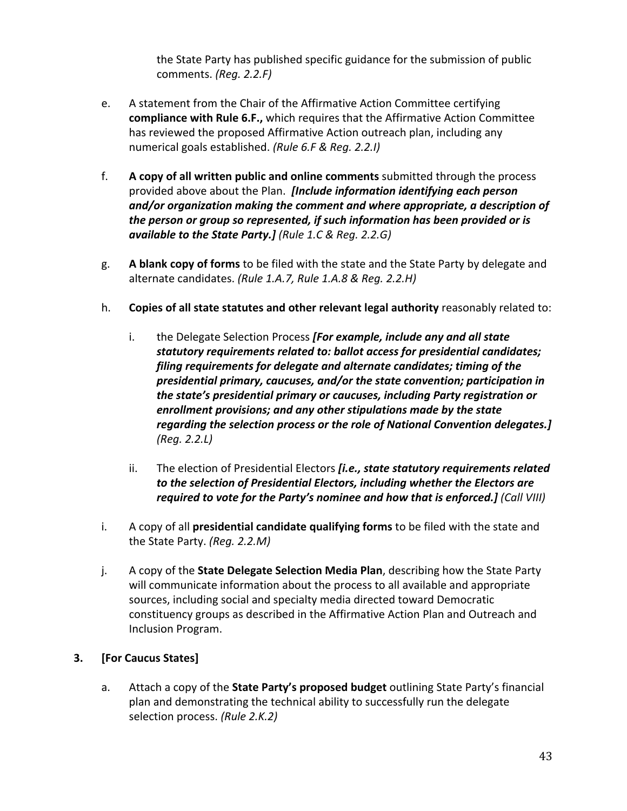the State Party has published specific guidance for the submission of public comments. *(Reg. 2.2.F)*

- e. A statement from the Chair of the Affirmative Action Committee certifying **compliance with Rule 6.F.,** which requires that the Affirmative Action Committee has reviewed the proposed Affirmative Action outreach plan, including any numerical goals established. *(Rule 6.F & Reg. 2.2.I)*
- f. **A copy of all written public and online comments** submitted through the process provided above about the Plan. *[Include information identifying each person and/or organization making the comment and where appropriate, a description of the person or group so represented, if such information has been provided or is available to the State Party.] (Rule 1.C & Reg. 2.2.G)*
- g. **A blank copy of forms** to be filed with the state and the State Party by delegate and alternate candidates. *(Rule 1.A.7, Rule 1.A.8 & Reg. 2.2.H)*
- h. **Copies of all state statutes and other relevant legal authority** reasonably related to:
	- i. the Delegate Selection Process *[For example, include any and all state statutory requirements related to: ballot access for presidential candidates; filing requirements for delegate and alternate candidates; timing of the presidential primary, caucuses, and/or the state convention; participation in the state's presidential primary or caucuses, including Party registration or enrollment provisions; and any other stipulations made by the state regarding the selection process or the role of National Convention delegates.] (Reg. 2.2.L)*
	- ii. The election of Presidential Electors *[i.e., state statutory requirements related to the selection of Presidential Electors, including whether the Electors are required to vote for the Party's nominee and how that is enforced.] (Call VIII)*
- i. A copy of all **presidential candidate qualifying forms** to be filed with the state and the State Party. *(Reg. 2.2.M)*
- j. A copy of the **State Delegate Selection Media Plan**, describing how the State Party will communicate information about the process to all available and appropriate sources, including social and specialty media directed toward Democratic constituency groups as described in the Affirmative Action Plan and Outreach and Inclusion Program.

## **3. [For Caucus States]**

a. Attach a copy of the **State Party's proposed budget** outlining State Party's financial plan and demonstrating the technical ability to successfully run the delegate selection process. *(Rule 2.K.2)*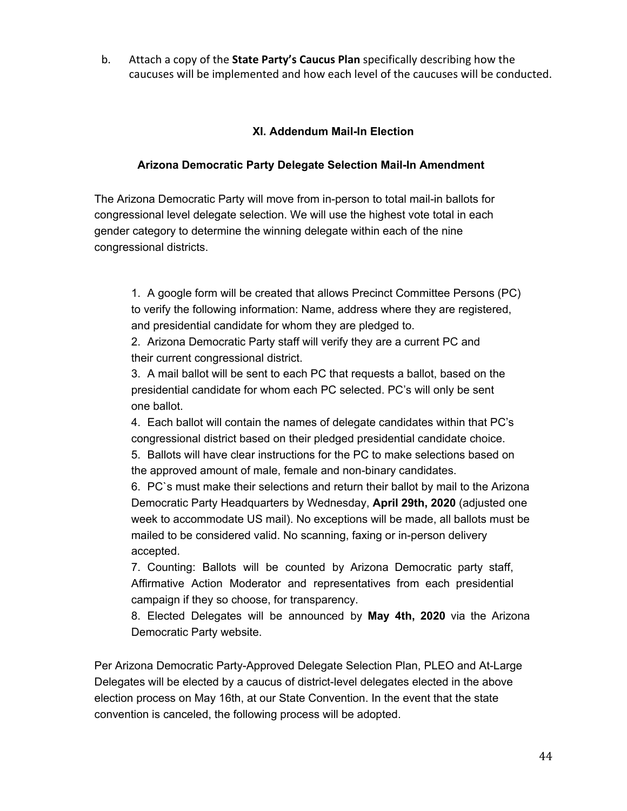b. Attach a copy of the **State Party's Caucus Plan** specifically describing how the caucuses will be implemented and how each level of the caucuses will be conducted.

## **XI. Addendum Mail-In Election**

#### **Arizona Democratic Party Delegate Selection Mail-In Amendment**

The Arizona Democratic Party will move from in-person to total mail-in ballots for congressional level delegate selection. We will use the highest vote total in each gender category to determine the winning delegate within each of the nine congressional districts.

1. A google form will be created that allows Precinct Committee Persons (PC) to verify the following information: Name, address where they are registered, and presidential candidate for whom they are pledged to.

2. Arizona Democratic Party staff will verify they are a current PC and their current congressional district.

3. A mail ballot will be sent to each PC that requests a ballot, based on the presidential candidate for whom each PC selected. PC's will only be sent one ballot.

4. Each ballot will contain the names of delegate candidates within that PC's congressional district based on their pledged presidential candidate choice.

5. Ballots will have clear instructions for the PC to make selections based on the approved amount of male, female and non-binary candidates.

6. PC`s must make their selections and return their ballot by mail to the Arizona Democratic Party Headquarters by Wednesday, **April 29th, 2020** (adjusted one week to accommodate US mail). No exceptions will be made, all ballots must be mailed to be considered valid. No scanning, faxing or in-person delivery accepted.

7. Counting: Ballots will be counted by Arizona Democratic party staff, Affirmative Action Moderator and representatives from each presidential campaign if they so choose, for transparency.

8. Elected Delegates will be announced by **May 4th, 2020** via the Arizona Democratic Party website.

Per Arizona Democratic Party-Approved Delegate Selection Plan, PLEO and At-Large Delegates will be elected by a caucus of district-level delegates elected in the above election process on May 16th, at our State Convention. In the event that the state convention is canceled, the following process will be adopted.